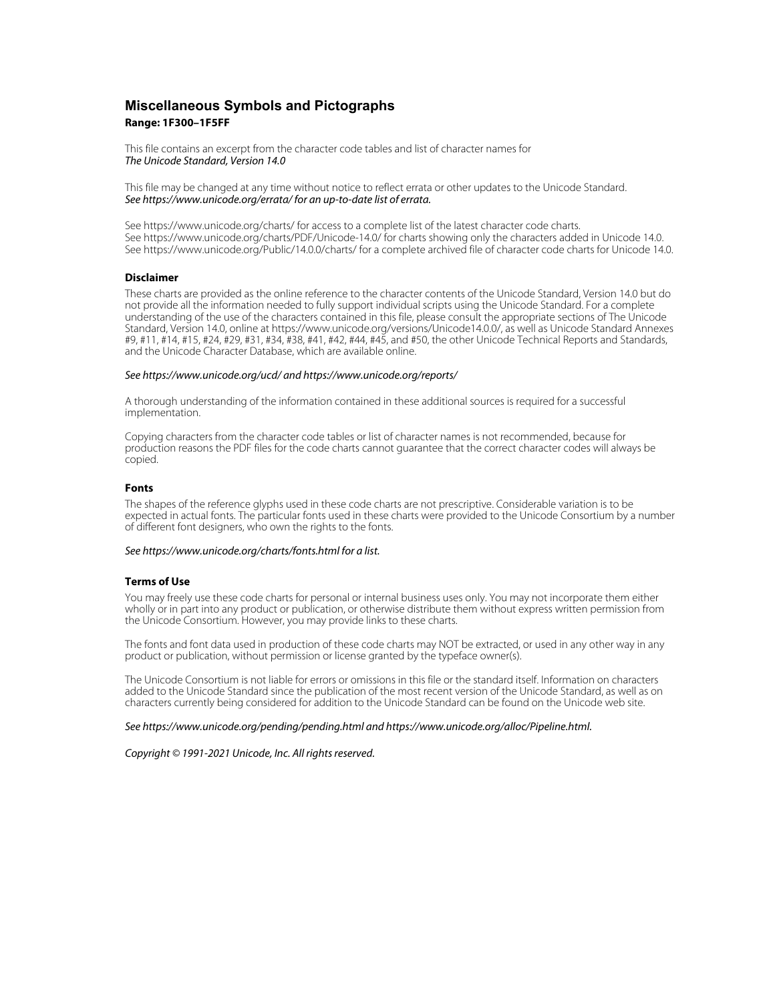## **Miscellaneous Symbols and Pictographs Range: 1F300–1F5FF**

This file contains an excerpt from the character code tables and list of character names for The Unicode Standard, Version 14.0

This file may be changed at any time without notice to reflect errata or other updates to the Unicode Standard. See https://www.unicode.org/errata/ for an up-to-date list of errata.

See https://www.unicode.org/charts/ for access to a complete list of the latest character code charts. See https://www.unicode.org/charts/PDF/Unicode-14.0/ for charts showing only the characters added in Unicode 14.0. See https://www.unicode.org/Public/14.0.0/charts/ for a complete archived file of character code charts for Unicode 14.0.

### **Disclaimer**

These charts are provided as the online reference to the character contents of the Unicode Standard, Version 14.0 but do not provide all the information needed to fully support individual scripts using the Unicode Standard. For a complete understanding of the use of the characters contained in this file, please consult the appropriate sections of The Unicode Standard, Version 14.0, online at https://www.unicode.org/versions/Unicode14.0.0/, as well as Unicode Standard Annexes #9, #11, #14, #15, #24, #29, #31, #34, #38, #41, #42, #44, #45, and #50, the other Unicode Technical Reports and Standards, and the Unicode Character Database, which are available online.

#### See https://www.unicode.org/ucd/ and https://www.unicode.org/reports/

A thorough understanding of the information contained in these additional sources is required for a successful implementation.

Copying characters from the character code tables or list of character names is not recommended, because for production reasons the PDF files for the code charts cannot guarantee that the correct character codes will always be copied.

#### **Fonts**

The shapes of the reference glyphs used in these code charts are not prescriptive. Considerable variation is to be expected in actual fonts. The particular fonts used in these charts were provided to the Unicode Consortium by a number of different font designers, who own the rights to the fonts.

### See https://www.unicode.org/charts/fonts.html for a list.

#### **Terms of Use**

You may freely use these code charts for personal or internal business uses only. You may not incorporate them either wholly or in part into any product or publication, or otherwise distribute them without express written permission from the Unicode Consortium. However, you may provide links to these charts.

The fonts and font data used in production of these code charts may NOT be extracted, or used in any other way in any product or publication, without permission or license granted by the typeface owner(s).

The Unicode Consortium is not liable for errors or omissions in this file or the standard itself. Information on characters added to the Unicode Standard since the publication of the most recent version of the Unicode Standard, as well as on characters currently being considered for addition to the Unicode Standard can be found on the Unicode web site.

#### See https://www.unicode.org/pending/pending.html and https://www.unicode.org/alloc/Pipeline.html.

Copyright © 1991-2021 Unicode, Inc. All rights reserved.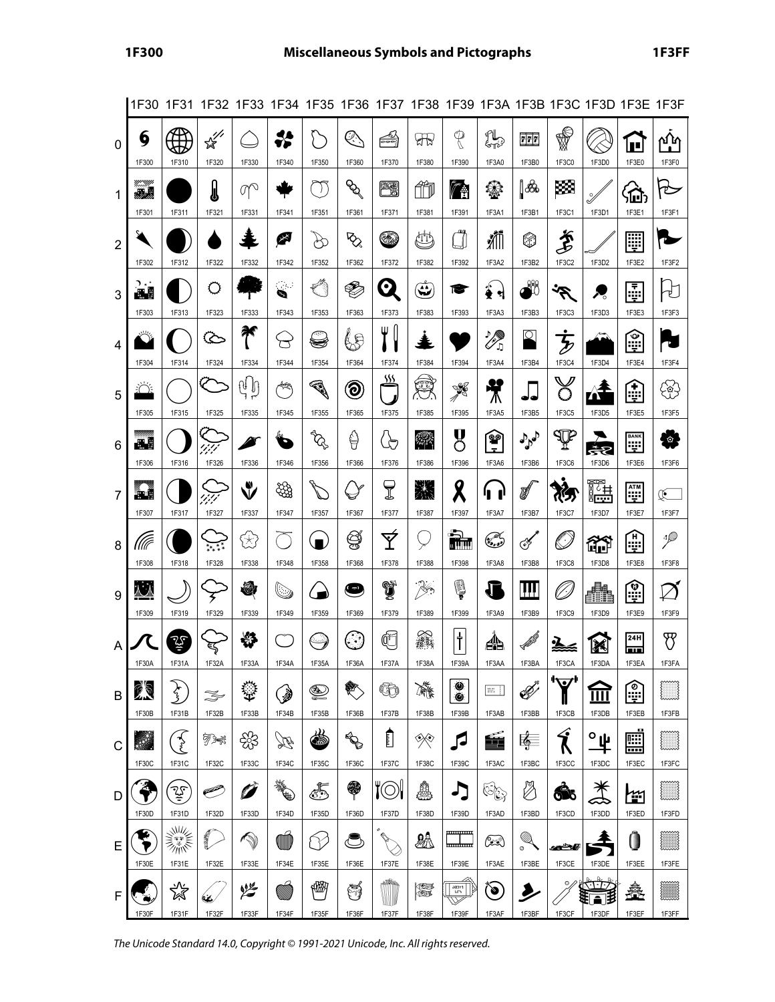|                |                   |                      |                                             |                                       |                                    |                             |                                 |                                          |                     |                    |                                      |                                  |                                   | 1F30 1F31 1F32 1F33 1F34 1F35 1F36 1F37 1F38 1F39 1F3A 1F3B 1F3C 1F3D 1F3E 1F3F |                           |                        |
|----------------|-------------------|----------------------|---------------------------------------------|---------------------------------------|------------------------------------|-----------------------------|---------------------------------|------------------------------------------|---------------------|--------------------|--------------------------------------|----------------------------------|-----------------------------------|---------------------------------------------------------------------------------|---------------------------|------------------------|
| 0              | 6<br>1F300        | 1F310                | $\mathbb{R}^{\mathbb{Z}^{\prime}}$<br>1F320 | 1F330                                 | 41<br>1F340                        | 1F350                       | Q.<br>1F360                     | €<br>1F370                               | श्री<br>1F380       | P<br>1F390         | LB<br>1F3A0                          | $\frac{1}{2}$<br>1F3B0           | ₩<br>1F3C0                        | 1F3D0                                                                           | ш<br>1F3E0                | ∩ւ∩<br>1F3F0           |
| 1              | m<br>感恩<br>1F301  | 1F311                | I<br>1F321                                  | $\mathbb{Q}^{\mathbb{Q}}$<br>1F331    | 1F341                              | $\bigtriangledown$<br>1F351 | $\mathscr{P}$<br>1F361          | œ<br>1F371                               | ŰĨ<br>1F381         | r.<br>1F391        | ❀<br>1F3A1                           | ▌ <mark></mark><br>1F3B1         | 図<br>1F3C1                        | Ý<br>1F3D1                                                                      | 硷<br>1F3E1                | 也<br>1F3F1             |
| $\overline{2}$ | 1F302             | 1F312                | 1F322                                       | 1F332                                 | 阕<br>1F342                         | D<br>1F352                  | $\delta$<br>1F362               | ☜<br>1F372                               | Ü<br>1F382          | лą<br>U<br>1F392   | ii.<br>1F3A2                         | ٧<br>1F3B2                       | Í<br>1F3C2                        | 1F3D2                                                                           | W<br>1F3E2                | 1F3F2                  |
| 3              | ↑∗.<br>لات        |                      | O                                           |                                       | 39<br>G                            | €                           | €                               | 0                                        | Œ                   | T                  | া<br>헉                               | ₩                                | بي<br>ح                           | ₹                                                                               | ē                         | $\overline{t}$         |
| 4              | 1F303<br>火        | 1F313                | 1F323                                       | 1F333<br>₩                            | 1F343<br>$\stackrel{\sim}{\sigma}$ | 1F353<br>ينته<br>Š          | 1F363<br>65                     | 1F373<br>Y (                             | 1F383               | 1F393              | 1F3A3<br>$\mathscr{C}$               | 1F3B3<br>ℚ                       | 1F3C3<br>$\overline{\mathcal{E}}$ | 1F3D3                                                                           | 1F3E3<br><u>ैं:।</u>      | 1F3F3                  |
| 5              | 1F304             | 1F314                | 1F324                                       | 1F334<br>$\mathfrak{h}[\mathfrak{h}]$ | 1F344<br>$\ddot{\mathbb{Z}}$       | 1F354<br><b>CONTRACTOR</b>  | 1F364<br>$\widehat{\mathbf{d}}$ | 1F374<br><u>sss</u>                      | 1F384<br>Ş          | 1F394<br>Y<br>N    | 1F3A4<br>$\frac{1}{\sqrt{2}}$        | 1F3B4<br>دی                      | 1F3C4<br>O                        | 1F3D4<br>$\bf\Lambda$                                                           | 1F3E4<br>Œ                | 1F3F4<br>3             |
| 6              | 1F305<br>الي.     | 1F315                | 1F325                                       | 1F335<br>Ø                            | 1F345<br>D                         | 1F355<br>ER                 | 1F365<br>€                      | 1F375<br><u>(උ</u>                       | 1F385<br>讏          | 1F395<br>g         | 1F3A5<br>❤<br>$\overline{r}$         | 1F3B5<br>$\partial_{\rho}$       | 1F3C5<br>F                        | 1F3D5<br>दुँट                                                                   | 1F3E5<br><b>BANK</b><br>Ψ | 1F3F5<br>ે©.           |
| $\overline{7}$ | 1F306<br>'n.      | 1F316                | 1F326                                       | 1F336<br>Ÿ                            | 1F346<br>₩                         | 1F356                       | 1F366                           | 1F376<br>T                               | 1F386<br>洣          | 1F396<br>χ         | 1F3A6<br>4<br>ľ                      | 1F3B6<br>Í                       | 1F3C6<br>恣,                       | 1F3D6<br>准                                                                      | 1F3E6<br>ATM<br>HELE      | 1F3F6<br>Œ.            |
| 8              | 1F307<br>.<br>llt | 1F317                | 1F327                                       | 1F337<br>讼                            | 1F347                              | 1F357                       | 1F367<br>Ş                      | 1F377<br>Ý                               | 1F387               | 1F397<br>i.        | 1F3A7<br>کی په                       | 1F3B7<br>ο≸                      | 1F3C7<br>Ø                        | 1F3D7<br>⋒                                                                      | 1F3E7<br>〔…               | 1F3F7<br>$\mathcal{P}$ |
|                | 1F308<br>ﯩﻨﯩ      | 1F318                | 1F328                                       | 1F338<br>Q                            | 1F348<br>O                         | 1F358<br>$\blacksquare$     | 1F368<br>9                      | 1F378<br>ţ                               | 1F388<br>پ          | 1F398<br>ę,        | 1F3A8<br>T                           | 1F3B8<br>Ш                       | 1F3C8<br>'O                       | 1F3D8<br>di                                                                     | 1F3E8<br>ர்               | 1F3F8<br>$\varnothing$ |
| 9              | 1F309             | 1F319                | 1F329                                       | 1F339                                 | 1F349                              | 1F359                       | 1F369                           | 1F379                                    | 1F389               | 1F399              | 1F3A9                                | 1F3B9                            | 1F3C9                             | 1F3D9                                                                           | 1F3E9<br>24H              | 1F3F9                  |
| A              | 1F30A             | V<br>1F31A           | 1F32A                                       | ₩<br>1F33A                            | 1F34A                              | سن<br>1F35A                 | ි<br>1F36A                      | Œ<br>1F37A                               | E.<br>1F38A         | $\dagger$<br>1F39A | ≜<br>1F3AA                           | <b>September 1997</b><br>1F3BA   | 1F3CA<br>''٧                      | X<br>1F3DA                                                                      | <u>ہے</u><br>1F3EA        | უ<br>1F3FA             |
| B              | Ź<br>1F30B        | ملم<br>رقمہ<br>1F31B | Z<br>1F32B                                  | †<br>1F33B                            | ۷<br>1F34B                         | Q<br>1F35B                  | E.<br>1F36B                     | ¢ò<br>1F37B                              | 濓<br>1F38B          | ۰<br>۰<br>1F39B    | es.   <br>1F3AB                      | 1F3BB                            | 1F3CB                             | <u>нн</u><br>1F3DB                                                              | ن<br>1F3EB                | 1F3FB                  |
| C              | 1F30C             | کی<br>ج<br>1F31C     | テ゚゚゚゚<br>1F32C                              | ₩<br>1F33C                            | $\mathbb{Z}$<br>1F34C              | 参<br>1F35C                  | B<br>1F36C                      | Î<br>1F37C                               | R<br>1F38C          | Ø<br>1F39C         | É<br>1F3AC                           | 嗪≡<br>1F3BC                      | Î<br>1F3CC                        | $\overset{\circ}{\mathbf{\Psi}}$<br>1F3DC                                       | 醞<br>त्त्व<br>1F3EC       | 1F3FC                  |
| D              | 1F30D             | مية<br>رئيس<br>1F31D | C<br>1F32D                                  | Ø<br>1F33D                            | N.<br>1F34D                        | E<br>1F35D                  | 6<br>1F36D                      | $\mathfrak{l}\circlearrowright$<br>1F37D | 4<br>1F38D          | 1F39D              | $\mathfrak{S}_{\mathbb{C}}$<br>1F3AD | Ø<br>1F3BD                       | Ó6<br>1F3CD                       | 1F3DD                                                                           | ٣í<br>1F3ED               | 1F3FD                  |
| E              | 1F30E             | 非常<br>1F31E          | 1F32E                                       | $\mathbb{Q}$<br>1F33E                 | Ú<br>1F34E                         | Y<br>1F35E                  | 1F36E                           | 1F37E                                    | łA<br>1F38E         | يستبسح<br>1F39E    | (Ce<br>1F3AE                         | $\mathbb{Q}$<br>$\circ$<br>1F3BE | کڪھ<br>1F3CE                      | 1F3DE                                                                           | ()<br>1F3EE               | 1F3FE                  |
| F              | 1F30F             | 潋<br>1F31F           | Ù.<br>1F32F                                 | كخطلخ<br>1F33F                        | W<br>1F34F                         | 幗<br>1F35F                  | Í<br>1F36F                      | 4.<br>1F37F                              | kuut<br>œk<br>1F38F | 48311<br>1F39F     | a,<br>1F3AF                          | 1F3BF                            | $\circ$<br>1F3CF                  | 1F3DF                                                                           | 鑫<br>1F3EF                | ▓▓<br>1F3FF            |

1F30 1F31 1F32 1F33 1F34 1F35 1F36 1F37 1F38 1F39 1F3A 1F3B 1F3C 1F3D 1F3E 1F3F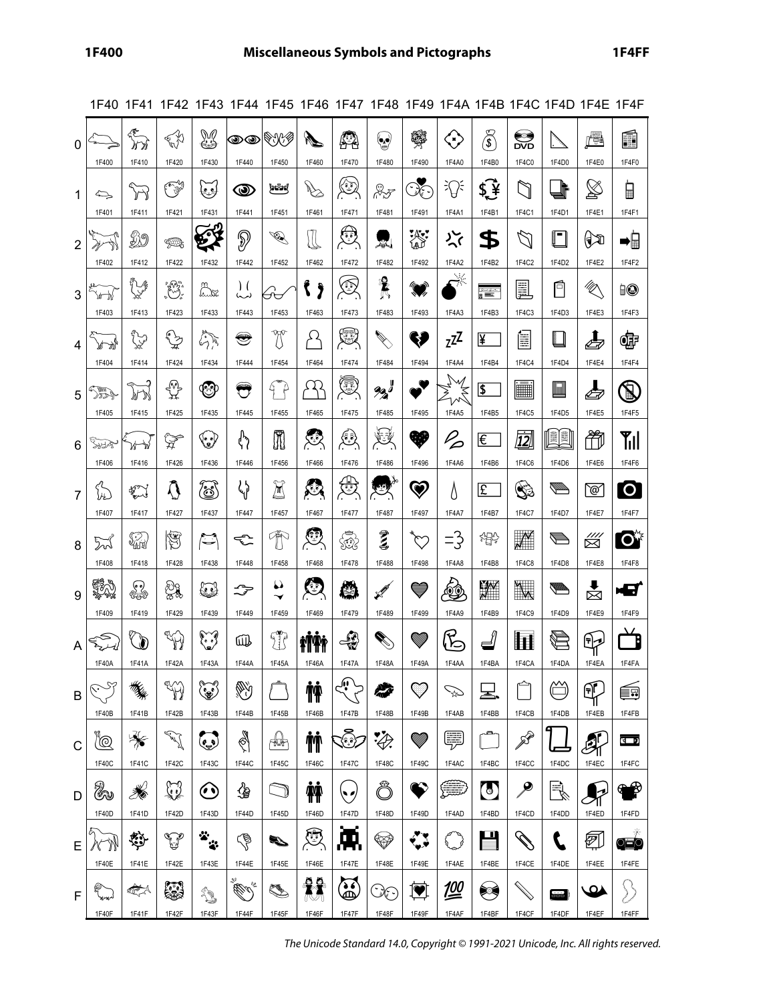| 0              |                                                                                                                                                                                                                                                                                                                                                                                      | $\sum_{\lambda\in\mathbb{N}}$ | <b>CAR</b>                                                                                                                                                                                                                                                                                                                                                                  | M                         | $\bm{\circledcirc}$     | ❤₩                        | N.                                                 | 42                             | ۱                                                                                                                                                                                                                                                                                                                                                                                    | 驛                     | $\bigodot$                                  | $\widehat{\mathfrak{F}}$ | sseri<br>DVD                       |                             | ŕH                        | Ń                     |
|----------------|--------------------------------------------------------------------------------------------------------------------------------------------------------------------------------------------------------------------------------------------------------------------------------------------------------------------------------------------------------------------------------------|-------------------------------|-----------------------------------------------------------------------------------------------------------------------------------------------------------------------------------------------------------------------------------------------------------------------------------------------------------------------------------------------------------------------------|---------------------------|-------------------------|---------------------------|----------------------------------------------------|--------------------------------|--------------------------------------------------------------------------------------------------------------------------------------------------------------------------------------------------------------------------------------------------------------------------------------------------------------------------------------------------------------------------------------|-----------------------|---------------------------------------------|--------------------------|------------------------------------|-----------------------------|---------------------------|-----------------------|
|                | 1F400                                                                                                                                                                                                                                                                                                                                                                                | 1F410                         | 1F420<br>039                                                                                                                                                                                                                                                                                                                                                                | 1F430                     | 1F440                   | 1F450<br>he™              | 1F460                                              | 1F470<br>٤                     | 1F480                                                                                                                                                                                                                                                                                                                                                                                | 1F490<br>$\Im$        | 1F4A0<br>း႐ွိႏ                              | 1F4B0<br>\$¥             | 1F4C0<br>$\mathbb{C}$              | 1F4D0<br>╠                  | 1F4E0<br>$\boxtimes$      | 1F4F0                 |
| 1              | $\Leftrightarrow$<br>1F401                                                                                                                                                                                                                                                                                                                                                           | $\sum$<br>1F411               | 1F421                                                                                                                                                                                                                                                                                                                                                                       | كلحا<br>1F431             | $\circledcirc$<br>1F441 | 1F451                     | $\overline{\mathscr{C}}$<br>1F461                  | 1F471                          | $\begin{picture}(20,20) \put(0,0){\vector(1,0){10}} \put(15,0){\vector(1,0){10}} \put(15,0){\vector(1,0){10}} \put(15,0){\vector(1,0){10}} \put(15,0){\vector(1,0){10}} \put(15,0){\vector(1,0){10}} \put(15,0){\vector(1,0){10}} \put(15,0){\vector(1,0){10}} \put(15,0){\vector(1,0){10}} \put(15,0){\vector(1,0){10}} \put(15,0){\vector(1,0){10}} \put(15,0){\vector(1$<br>1F481 | 1F491                 | 1F4A1                                       | 1F4B1                    | 1F4C1                              | 1F4D1                       | 1F4E1                     | ┋<br>1F4F1            |
| $\overline{2}$ |                                                                                                                                                                                                                                                                                                                                                                                      | Ø9                            | YD.                                                                                                                                                                                                                                                                                                                                                                         | 57                        | P                       | <b>D</b>                  | $\mathbb{I}% _{n}^{1}\left( \mathbb{R}^{n}\right)$ | €                              | 累                                                                                                                                                                                                                                                                                                                                                                                    | 灪                     | ৴৴                                          | \$                       | Z.                                 | $\blacksquare$              | $\mathbb{C}$              | ∍∏                    |
|                | 1F402                                                                                                                                                                                                                                                                                                                                                                                | 1F412                         | 1F422                                                                                                                                                                                                                                                                                                                                                                       | 1F432                     | 1F442                   | 1F452                     | 1F462                                              | 1F472                          | 1F482                                                                                                                                                                                                                                                                                                                                                                                | 1F492                 | 1F4A2                                       | 1F4B2                    | 1F4C2                              | 1F4D2                       | 1F4E2                     | 1F4F2                 |
| 3              | \⁄r n\                                                                                                                                                                                                                                                                                                                                                                               | j<br>V                        | ۣ                                                                                                                                                                                                                                                                                                                                                                           | ≌<br><u>h. 152</u>        | $\mathcal{L}$<br>(مہ)   | Æ                         | Ĵ                                                  | ٨                              | 曩                                                                                                                                                                                                                                                                                                                                                                                    | Ø,                    | $\rightarrow$                               | Ñ                        | <u>F</u>                           | 戶                           | $\frac{d}{d\phi}$         | io                    |
|                | 1F403                                                                                                                                                                                                                                                                                                                                                                                | 1F413                         | 1F423                                                                                                                                                                                                                                                                                                                                                                       | 1F433                     | 1F443                   | 1F453                     | 1F463                                              | 1F473                          | 1F483                                                                                                                                                                                                                                                                                                                                                                                | 1F493                 | 1F4A3                                       | 1F4B3                    | 1F4C3                              | 1F4D3                       | 1F4E3                     | 1F4F3                 |
| 4              | at di                                                                                                                                                                                                                                                                                                                                                                                | <b>Jy</b>                     | $\begin{picture}(220,20) \put(0,0){\vector(1,0){10}} \put(15,0){\vector(1,0){10}} \put(15,0){\vector(1,0){10}} \put(15,0){\vector(1,0){10}} \put(15,0){\vector(1,0){10}} \put(15,0){\vector(1,0){10}} \put(15,0){\vector(1,0){10}} \put(15,0){\vector(1,0){10}} \put(15,0){\vector(1,0){10}} \put(15,0){\vector(1,0){10}} \put(15,0){\vector(1,0){10}} \put(15,0){\vector($ | $\mathbb{Z}$              | S                       | U                         | Ω                                                  | ١                              |                                                                                                                                                                                                                                                                                                                                                                                      | H                     | $z^{z}$                                     | ¥                        | Ē                                  |                             | $\boldsymbol{\mathit{L}}$ | Œ                     |
|                | 1F404                                                                                                                                                                                                                                                                                                                                                                                | 1F414                         | 1F424                                                                                                                                                                                                                                                                                                                                                                       | 1F434                     | 1F444                   | 1F454                     | 1F464                                              | 1F474                          | 1F484                                                                                                                                                                                                                                                                                                                                                                                | 1F494                 | 1F4A4                                       | 1F4B4                    | 1F4C4                              | 1F4D4                       | 1F4E4                     | 1F4F4                 |
| 5              | $\mathbb{Z}$<br>1F405                                                                                                                                                                                                                                                                                                                                                                | 趴<br>1F415                    | {°€<br>∑<br>1F425                                                                                                                                                                                                                                                                                                                                                           | ❤<br>1F435                | $\bigcirc$<br>1F445     | G.<br>1F455               | ړ کړ<br>1F465                                      | C<br>1F475                     | $90 - 90$<br>1F485                                                                                                                                                                                                                                                                                                                                                                   | $\bullet$<br>1F495    | ₹<br>ひ<br>1F4A5                             | \$<br>1F4B5              | E<br>1F4C5                         | ШШ<br>1F4D5                 | $\bigoplus$<br>1F4E5      | $\mathbf{Z}$<br>1F4F5 |
|                |                                                                                                                                                                                                                                                                                                                                                                                      |                               |                                                                                                                                                                                                                                                                                                                                                                             |                           |                         |                           |                                                    |                                |                                                                                                                                                                                                                                                                                                                                                                                      | W                     |                                             |                          |                                    | E<br>E                      |                           |                       |
| 6              | SIA                                                                                                                                                                                                                                                                                                                                                                                  | ₩<br><u>м</u>                 | ₩                                                                                                                                                                                                                                                                                                                                                                           | ()                        | ᢢ                       | Ī                         | ▧                                                  | ڲ                              | 这                                                                                                                                                                                                                                                                                                                                                                                    | 1F496                 | $\frac{1}{2}$                               | ι€                       | <u>12]</u><br>1F4C6                |                             | 筍                         | Ťıll                  |
|                | 1F406                                                                                                                                                                                                                                                                                                                                                                                | 1F416                         | 1F426                                                                                                                                                                                                                                                                                                                                                                       | 1F436                     | 1F446                   | 1F456                     | 1F466                                              | 1F476                          | 1F486                                                                                                                                                                                                                                                                                                                                                                                |                       | 1F4A6                                       | 1F4B6                    |                                    | 1F4D6                       | 1F4E6                     | 1F4F6                 |
| $\overline{7}$ | $\begin{picture}(120,15) \put(0,0){\vector(0,1){30}} \put(15,0){\vector(0,1){30}} \put(15,0){\vector(0,1){30}} \put(15,0){\vector(0,1){30}} \put(15,0){\vector(0,1){30}} \put(15,0){\vector(0,1){30}} \put(15,0){\vector(0,1){30}} \put(15,0){\vector(0,1){30}} \put(15,0){\vector(0,1){30}} \put(15,0){\vector(0,1){30}} \put(15,0){\vector(0,1){30}} \put(15,0){\vector($<br>1F407 | $\sum_{i=1}^{n}$<br>1F417     | $\Omega$<br>1F427                                                                                                                                                                                                                                                                                                                                                           | 0<br>1F437                | $\zeta$<br>1F447        | $\sum_{i=1}^{n}$<br>1F457 | 赑<br>1F467                                         | ∰<br>1F477                     | 零<br>1F487                                                                                                                                                                                                                                                                                                                                                                           | $\heartsuit$<br>1F497 | Δ<br>1F4A7                                  | £<br>1F4B7               | ١<br>1F4C7                         | <b>The Company</b><br>1F4D7 | ø<br>1F4E7                | $\mathbf O$<br>1F4F7  |
|                |                                                                                                                                                                                                                                                                                                                                                                                      |                               | g                                                                                                                                                                                                                                                                                                                                                                           | $\mathbb{C}^{\bullet}$    | €                       | $\mathcal{F}$             | ▧                                                  | حصر                            | $\vec{\epsilon}$                                                                                                                                                                                                                                                                                                                                                                     | ど                     | =3                                          | 掾                        | $\mathcal{N}$                      | Þ                           | !!!                       | $\mathbf{C}^*$        |
| 8              | ∑√<br>1F408                                                                                                                                                                                                                                                                                                                                                                          | W<br>1F418                    | 1F428                                                                                                                                                                                                                                                                                                                                                                       | 1F438                     | 1F448                   | 1F458                     | 1F468                                              | SS 26<br>1F478                 | 1F488                                                                                                                                                                                                                                                                                                                                                                                | 1F498                 | 1F4A8                                       | 1F4B8                    | 1F4C8                              | 1F4D8                       | ⊠<br>1F4E8                | 1F4F8                 |
|                | SA)                                                                                                                                                                                                                                                                                                                                                                                  |                               |                                                                                                                                                                                                                                                                                                                                                                             |                           |                         | O                         | C                                                  |                                |                                                                                                                                                                                                                                                                                                                                                                                      |                       |                                             |                          |                                    | <b>de la propie</b>         | $\ddot{\phantom{a}}$      |                       |
| 9              | 1F409                                                                                                                                                                                                                                                                                                                                                                                | €<br>1F419                    | ▒<br>1F429                                                                                                                                                                                                                                                                                                                                                                  | لخطأ<br>1F439             | <del>ુ</del><br>1F449   | $\checkmark$<br>1F459     | 1F469                                              | ٤<br>1F479                     | $\mathscr{L}$<br>1F489                                                                                                                                                                                                                                                                                                                                                               | ♥<br>1F499            | $\bigcirc\hspace{-7.75pt}\bigcirc$<br>1F4A9 | Y<br>1F4B9               | y<br>M<br>1F4C9                    | 1F4D9                       | X<br>1F4E9                | 43<br>1F4F9           |
|                | ⇒                                                                                                                                                                                                                                                                                                                                                                                    |                               |                                                                                                                                                                                                                                                                                                                                                                             |                           |                         |                           |                                                    |                                |                                                                                                                                                                                                                                                                                                                                                                                      |                       |                                             |                          |                                    |                             |                           |                       |
| A              | 1F40A                                                                                                                                                                                                                                                                                                                                                                                | $\mathbb{Q}$<br>1F41A         | W<br>1F42A                                                                                                                                                                                                                                                                                                                                                                  | ٦<br>1F43A                | 哑<br>1F44A              | T<br>1F45A                | 杯酢<br>1F46A                                        | ₩<br>1F47A                     | 1F48A                                                                                                                                                                                                                                                                                                                                                                                | 1F49A                 | $R$ g<br>1F4AA                              | ╝<br>1F4BA               | Ħ<br>1F4CA                         | $\bigoplus$<br>1F4DA        | 9≄<br>Ш<br>1F4EA          | 1F4FA                 |
|                |                                                                                                                                                                                                                                                                                                                                                                                      |                               |                                                                                                                                                                                                                                                                                                                                                                             |                           |                         |                           |                                                    | ` إكم                          |                                                                                                                                                                                                                                                                                                                                                                                      |                       |                                             |                          |                                    | ∕₩                          |                           |                       |
| B              | 1F40B                                                                                                                                                                                                                                                                                                                                                                                | 1F41B                         | W<br>1F42B                                                                                                                                                                                                                                                                                                                                                                  | ١<br>1F43B                | V<br>1F44B              | 1F45B                     | <b>İŶ</b><br>1F46B                                 | 1F47B                          | خلا<br>1F48B                                                                                                                                                                                                                                                                                                                                                                         | ♡<br>1F49B            | Å.<br>1F4AB                                 | 呈.<br>1F4BB              | 1F4CB                              | 1F4DB                       | Æ<br>1F4EB                | é.<br>1F4FB           |
|                |                                                                                                                                                                                                                                                                                                                                                                                      |                               |                                                                                                                                                                                                                                                                                                                                                                             |                           |                         |                           |                                                    |                                |                                                                                                                                                                                                                                                                                                                                                                                      | WM)                   |                                             |                          |                                    |                             |                           | $\sqrt{2}$            |
| $\mathsf{C}$   | 10<br>1F40C                                                                                                                                                                                                                                                                                                                                                                          | ₩<br>1F41C                    | الميلي<br>الميلي<br>1F42C                                                                                                                                                                                                                                                                                                                                                   | $\mathbf{C}$<br>1F43C     | S<br>1F44C              | r#u#<br>1F45C             | <b>M</b><br>1F46C                                  | ٩<br>1F47C                     | $\bigcirc$<br>1F48C                                                                                                                                                                                                                                                                                                                                                                  | 1F49C                 | Ę<br>1F4AC                                  | 1F4BC                    | P<br>1F4CC                         | 1F4DC                       | 雺<br>1F4EC                | 1F4FC                 |
|                |                                                                                                                                                                                                                                                                                                                                                                                      |                               |                                                                                                                                                                                                                                                                                                                                                                             |                           |                         |                           |                                                    |                                |                                                                                                                                                                                                                                                                                                                                                                                      |                       |                                             |                          |                                    |                             |                           | ₩                     |
| D              | Q<br>1F40D                                                                                                                                                                                                                                                                                                                                                                           | K.<br>1F41D                   | Q<br>1F42D                                                                                                                                                                                                                                                                                                                                                                  | $\bf \bm{\odot}$<br>1F43D | ∯<br>1F44D              | 1F45D                     | Ŵ<br>1F46D                                         | $\breve{\phantom{a}}$<br>1F47D | Ô<br>1F48D                                                                                                                                                                                                                                                                                                                                                                           | 1F49D                 | ∰<br>1F4AD                                  | $\bigodot$<br>1F4BD      | $\cancel{\triangleright}$<br>1F4CD | $\bar{\mathbb{R}}$<br>1F4DD | 1F4ED                     | 1F4FD                 |
|                |                                                                                                                                                                                                                                                                                                                                                                                      |                               |                                                                                                                                                                                                                                                                                                                                                                             |                           |                         |                           | 愿                                                  |                                |                                                                                                                                                                                                                                                                                                                                                                                      |                       |                                             | 맘                        |                                    |                             |                           |                       |
| E              | 1F40E                                                                                                                                                                                                                                                                                                                                                                                | Ķ,<br>1F41E                   | مي<br>1F42E                                                                                                                                                                                                                                                                                                                                                                 | Ÿ.<br>1F43E               | $\mathbb{S}$<br>1F44E   | S.<br>1F45E               | 1F46E                                              | Ж,<br>1F47E                    | ❤<br>1F48E                                                                                                                                                                                                                                                                                                                                                                           | $\mathbf{C}$<br>1F49E | รั }<br>1F4AE                               | 1F4BE                    | $\mathscr{U}$<br>1F4CE             | 1F4DE                       | ল<br>1F4EE                | ੦ੂ⊟੦<br>1F4FE         |
|                |                                                                                                                                                                                                                                                                                                                                                                                      |                               |                                                                                                                                                                                                                                                                                                                                                                             |                           | .º                      |                           | 臡                                                  |                                |                                                                                                                                                                                                                                                                                                                                                                                      |                       |                                             |                          |                                    |                             |                           |                       |
| F              | 1F40F                                                                                                                                                                                                                                                                                                                                                                                | Í,<br>1F41F                   | 5<br>1F42F                                                                                                                                                                                                                                                                                                                                                                  | 1<br>1F43F                | <u>Carl </u><br>1F44F   | K.<br>1F45F               | 1F46F                                              | <u>ල</u><br>1F47F              | 30<br>1F48F                                                                                                                                                                                                                                                                                                                                                                          | 1F49F                 | 凹<br>1F4AF                                  | ❤<br>1F4BF               | 1F4CF                              | $\equiv$<br>1F4DF           | <u>Ω</u><br>1F4EF         | 1F4FF                 |

1F40 1F41 1F42 1F43 1F44 1F45 1F46 1F47 1F48 1F49 1F4A 1F4B 1F4C 1F4D 1F4E 1F4F

The Unicode Standard 14.0, Copyright © 1991-2021 Unicode, Inc. All rights reserved.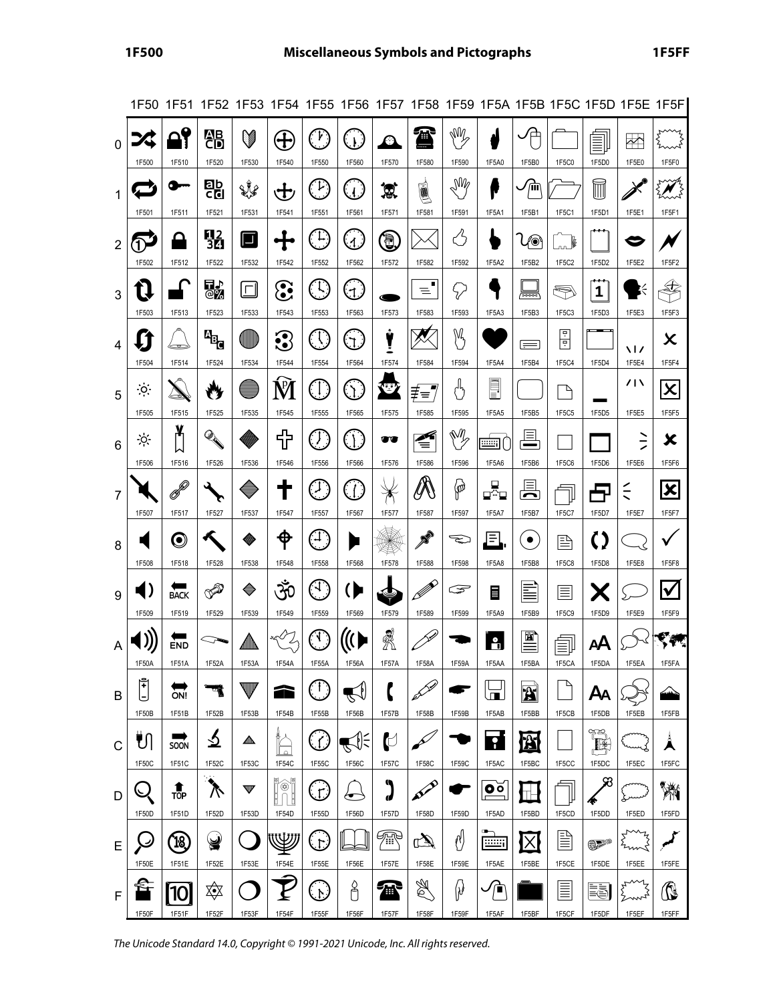|                |                               |                               | 1F50 1F51 1F52 1F53 1F54 1F55 1F56 1F57 1F58 1F59 1F5A 1F5B 1F5C 1F5D 1F5E 1F5F                                                                                                                                                                                                                                                                                                      |                 |                                   |                                                       |                          |                                     |                        |                                                        |                                                          |                                 |                         |                                   |                          |                                    |
|----------------|-------------------------------|-------------------------------|--------------------------------------------------------------------------------------------------------------------------------------------------------------------------------------------------------------------------------------------------------------------------------------------------------------------------------------------------------------------------------------|-----------------|-----------------------------------|-------------------------------------------------------|--------------------------|-------------------------------------|------------------------|--------------------------------------------------------|----------------------------------------------------------|---------------------------------|-------------------------|-----------------------------------|--------------------------|------------------------------------|
| $\mathbf{0}$   | 1F500                         | 1F510                         | 器<br>1F520                                                                                                                                                                                                                                                                                                                                                                           | V<br>1F530      | $\bigoplus$<br>1F540              | $\gamma$<br>1F550                                     | .<br>را<br>1F560         | $\boldsymbol{\varnothing}$<br>1F570 | $\bigcap$<br>1F580     | ИÝ<br>1F590                                            | 1F5A0                                                    | ′⊏<br>1F5B0                     | 1F5C0                   | 1F5D0                             | $\ket{\cdot}$<br>1F5E0   | 1F5F0                              |
| 1              | 1F501                         | <b>demokratic</b><br>1F511    | Eb<br>Col<br>1F521                                                                                                                                                                                                                                                                                                                                                                   | XY<br>1F531     | せ<br>1F541                        | تنا<br>1F551                                          | زالى<br>1F561            | 窝<br>1F571                          | 圓<br>1F581             | $\mathbb{M}_{\!\mathscr{E}}$<br>1F591                  | f<br>1F5A1                                               | 疝<br>1F5B1                      | 1F5C1                   | $\widecheck{\mathbb{I}}$<br>1F5D1 | 1F5E1                    | 1F5F1                              |
| $\overline{2}$ | 1F502                         | 1F512                         | 02<br>30<br>1F522                                                                                                                                                                                                                                                                                                                                                                    | $\Box$<br>1F532 | 1F542                             | U,<br>1F552                                           | .<br>ر 1<br>1F562        | J<br>1F572                          | 1F582                  | Β<br>1F592                                             | 1F5A2                                                    | ∕⊚<br>1F5B2                     | $\mathbb{R}$<br>1F5C2   | 1F5D2                             | 1F5E2                    | 1F5F2                              |
| 3              | 1F503                         | 1F513                         | 即<br>ФŽ<br>1F523                                                                                                                                                                                                                                                                                                                                                                     | $\Box$<br>1F533 | $\mathbf{\hat{c}}$<br>1F543       | H.<br>1F553                                           | $\mathfrak{a}$<br>1F563  | 1F573                               | ᆯ<br>1F583             | تركح<br>1F593                                          | 1F5A3                                                    | ॑ॼॼज़<br>1F5B3                  | Ş<br>1F5C3              | <br>1<br>1F5D3                    | 1F5E3                    | €<br>1F5F3                         |
| 4              | 1F504                         | e<br>1F514                    | $\mathbf{F}_{\mathbf{G}}$<br>1F524                                                                                                                                                                                                                                                                                                                                                   | U<br>1F534      | $\mathbf{\Omega}$<br>1F544        | T<br>1F554                                            | $\mathfrak{I}.$<br>1F564 | Ÿ<br>1F574                          | 1F584                  | $\mathbb{M}$<br>1F594                                  | 1F5A4                                                    | $=$<br>1F5B4                    | 匣<br>回<br>1F5C4         | __<br>1F5D4                       | <b>\ /</b><br>1F5E4      | X<br>1F5F4                         |
| 5              | $\cdot \circ$<br>1F505        | 1F515                         | 1F525                                                                                                                                                                                                                                                                                                                                                                                | 1F535           | Ń<br>1F545                        | $\left(\begin{matrix} 1 \end{matrix}\right)$<br>1F555 | $\hat{Q}$ :<br>1F565     | <b>O</b><br>1F575                   | ≢≡'<br>1F585           | י<br>ג')<br>1F595                                      | E<br>1F5A5                                               | 1F5B5                           | $\overline{a}$<br>1F5C5 | 1F5D5                             | 717<br>1F5E5             | $\boldsymbol{\mathsf{x}}$<br>1F5F5 |
| 6              | ÷ò.<br>1F506                  | X<br>⋈<br>1F516               | $\begin{picture}(20,20) \put(0,0){\vector(1,0){10}} \put(15,0){\vector(1,0){10}} \put(15,0){\vector(1,0){10}} \put(15,0){\vector(1,0){10}} \put(15,0){\vector(1,0){10}} \put(15,0){\vector(1,0){10}} \put(15,0){\vector(1,0){10}} \put(15,0){\vector(1,0){10}} \put(15,0){\vector(1,0){10}} \put(15,0){\vector(1,0){10}} \put(15,0){\vector(1,0){10}} \put(15,0){\vector(1$<br>1F526 | 1F536           | ╬<br>1F546                        | $\langle f \rangle$<br>1F556                          | $\cdot \int$<br>1F566    | 00<br>1F576                         | Á<br>₹<br>1F586        | ŃŹ<br>1F596                                            | <u>eee</u> r<br>1F5A6                                    | E<br>1F5B6                      | 1F5C6                   | 1F5D6                             | ミ<br>1F5E6               | X<br>1F5F6                         |
| $\overline{7}$ | 1F507                         | P<br>1F517                    | 1F527                                                                                                                                                                                                                                                                                                                                                                                | 1F537           | 1F547                             | U<br>1F557                                            | $\mathcal{L}$<br>1F567   | y<br>1F577                          | Ø<br>1F587             | $\langle \!\!\!\!\!\!\psi_p\!\!\!\!\!\rangle$<br>1F597 | 모<br>⊑≏⊑<br>1F5A7                                        | ⊫<br>⌒<br>1F5B7                 | 1F5C7                   | 1F5D7                             | $\leq$<br>1F5E7          | $\vert\mathsf{x}\vert$<br>1F5F7    |
| 8              | 1F508                         | $\boldsymbol{\odot}$<br>1F518 | 1F528                                                                                                                                                                                                                                                                                                                                                                                | ₩<br>1F538      | ቀ<br>1F548                        | Ē<br>1F558                                            | 1F568                    | 1F578                               | $\mathscr{E}$<br>1F588 | $\mathbb{Q}$<br>1F598                                  | $\boxdot$<br>1F5A8                                       | $\bullet$<br>1F5B8              | 冟<br>1F5C8              | ()<br>1F5D8                       | 1F5E8                    | 1F5F8                              |
| 9              | I)<br>1F509                   | <b>BACK</b><br>1F519          | V <sup>D</sup><br>1F529                                                                                                                                                                                                                                                                                                                                                              | ♦<br>1F539      | ૐ<br>1F549                        | ्न.<br>1F559                                          | ( P<br>1F569             | 1F579                               | Ø<br>1F589             | డా<br>1F599                                            | 畐<br>1F5A9                                               | ≣<br>1F5B9                      | ≣<br>1F5C9              | Х<br>1F5D9                        | 1F5E9                    | $\blacktriangledown$<br>1F5F9      |
| A              | 1F50A                         | END<br>1F51A                  | 1F52A                                                                                                                                                                                                                                                                                                                                                                                | 杰<br>1F53A      | ♦<br>1F54A                        | A.<br>1F55A                                           | 1F56A                    | Ä<br>1F57A                          | 1F58A                  | 1F59A                                                  | $\mathbf{a}$<br>1F5AA                                    | 図<br>1F5BA                      | $\equiv$<br>1F5CA       | AA<br>1F5DA                       | 1F5EA                    | 1F5FA                              |
| B              | $\tilde{\mathbb{I}}$<br>1F50B | ON!<br>1F51B                  | অ<br>1F52B                                                                                                                                                                                                                                                                                                                                                                           | v<br>1F53B      | 2<br>1F54B                        | (11<br>1F55B                                          | 1F56B                    | 1F57B                               | S<br>1F58B             | 1F59B                                                  | $\blacksquare$<br>1F5AB                                  | $\mathbf{X}$<br>1F5BB           | $\overline{a}$<br>1F5CB | Αд<br>1F5DB                       | 1F5EB                    | $\rightarrow$<br>1F5FB             |
| C              | ¶¶<br>1F50C                   | SOON<br>1F51C                 | <u> ১</u><br>1F52C                                                                                                                                                                                                                                                                                                                                                                   | 杰<br>1F53C      | $\overline{\phantom{a}}$<br>1F54C | 1F55C                                                 | $\leq \infty$<br>1F56C   | $\mathbb C$<br>1F57C                | 1F58C                  | 1F59C                                                  | $\overline{\cdot}$<br>1F5AC                              | <u> X</u><br>1F5BC              | 1F5CC                   | 연주<br>厩<br>1F5DC                  | 1F5EC                    | Å<br>1F5FC                         |
| D              | 1F50D                         | 1<br>TOP<br>1F51D             | $\lambda$<br>1F52D                                                                                                                                                                                                                                                                                                                                                                   | v<br>1F53D      | Ó<br>1F54D                        | 1F55D                                                 | ץ<br>1F56D               | ٩<br>J<br>1F57D                     | BEE<br>1F58D           | 1F59D                                                  | $\overline{\mathbf{o}}$ $\overline{\mathbf{o}}$<br>1F5AD | $\mathbb T$<br>1F5BD            | 1F5CD                   | 58<br>1F5DD                       | 1F5ED                    | Ŵ<br>1F5FD                         |
| E              | ب<br>1F50E                    | $\left[18\right]$<br>1F51E    | ¥<br>1F52E                                                                                                                                                                                                                                                                                                                                                                           | 1F53E           | W<br>1F54E                        | ٦.<br>1F55E                                           | 1F56E                    | ₩.<br>1F57E                         | $\mathbb{Z}$<br>1F58E  | Ŋ<br>1F59E                                             | <u>min</u><br>1F5AE                                      | $\vert\mathsf{X}\vert$<br>1F5BE | l⊪⇒<br>1F5CE            | 0P®<br>1F5DE                      | my<br>imi<br>Zm<br>1F5EE | مر<br>1F5FE                        |
| F              | 1F50F                         | 10<br>1F51F                   | ΣΦ<br>1F52F                                                                                                                                                                                                                                                                                                                                                                          | 1F53F           | 1F54F                             | رایا<br>1F55F                                         | å<br>1F56F               | 衝<br>1F57F                          | Þ<br>1F58F             | $\emptyset$<br>1F59F                                   | 冾<br>1F5AF                                               | 1F5BF                           | $\equiv$<br>1F5CF       | ēĒ<br>1F5DF                       | ζ<br>1F5EF               | ß<br>1F5FF                         |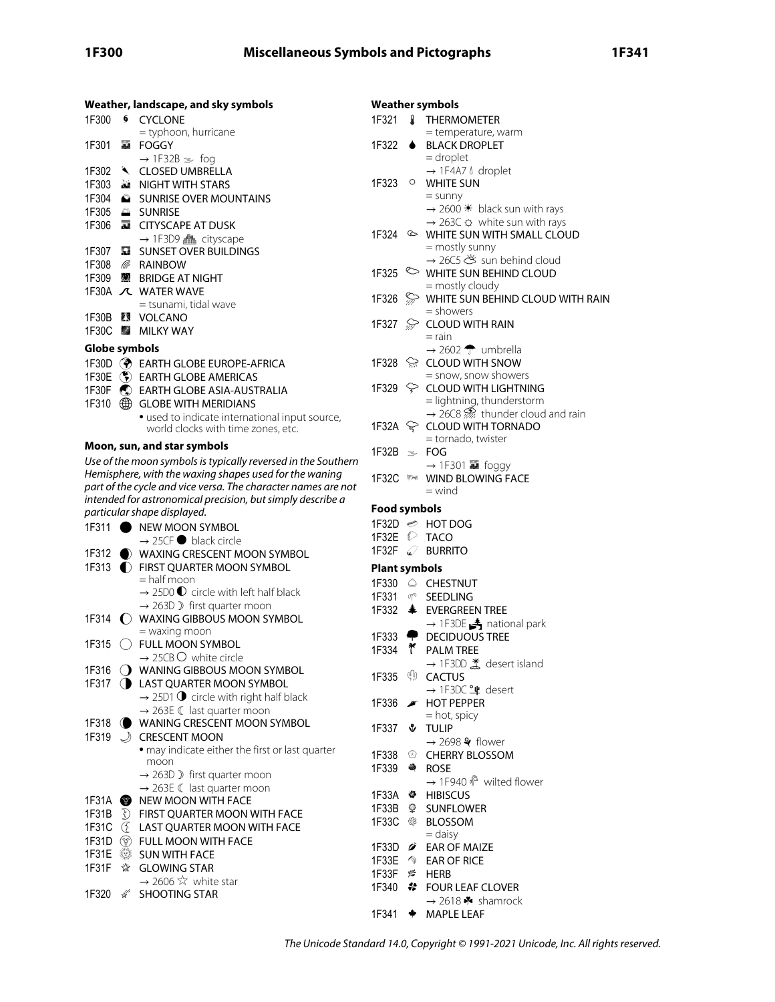|                    | Weather, landscape, and sky symbols                                                  |                      |           | <b>Weather symbols</b>                                                                                             |
|--------------------|--------------------------------------------------------------------------------------|----------------------|-----------|--------------------------------------------------------------------------------------------------------------------|
| 1F300              | <b>6 CYCLONE</b>                                                                     |                      |           | 1F321 & THERMOMETER                                                                                                |
|                    | = typhoon, hurricane                                                                 |                      |           | = temperature, warm                                                                                                |
|                    | 1F301 A FOGGY                                                                        | 1F322                | $\bullet$ | <b>BLACK DROPLET</b>                                                                                               |
|                    | $\rightarrow$ 1F32B $\gg$ fog                                                        |                      |           | $=$ droplet                                                                                                        |
|                    | 1F302 \ CLOSED UMBRELLA                                                              |                      |           | $\rightarrow$ 1F4A7 $\&$ droplet                                                                                   |
|                    | 1F303 MIGHT WITH STARS                                                               | 1F323                | $\circ$   | <b>WHITE SUN</b>                                                                                                   |
|                    | 1F304 SUNRISE OVER MOUNTAINS                                                         |                      |           | $=$ sunny                                                                                                          |
|                    | 1F305 <sup>2</sup> SUNRISE                                                           |                      |           | $\rightarrow$ 2600 $*$ black sun with rays                                                                         |
|                    | 1F306 <b>M</b> CITYSCAPE AT DUSK                                                     |                      |           | $\rightarrow$ 263C $\circ$ white sun with rays                                                                     |
|                    | → 1F3D9 ▲ cityscape                                                                  |                      |           | 1F324 & WHITE SUN WITH SMALL CLOUD                                                                                 |
|                    | 1F307 <b>M</b> SUNSET OVER BUILDINGS                                                 |                      |           | = mostly sunny                                                                                                     |
|                    | 1F308 <b>6</b> RAINBOW                                                               |                      |           | $\rightarrow$ 26C5 $\stackrel{\textstyle\mathsf{\scriptstyle def}}{}}{\mathsf{\scriptstyle def}}$ sun behind cloud |
|                    | 1F309 图 BRIDGE AT NIGHT                                                              |                      |           | 1F325 <b>WHITE SUN BEHIND CLOUD</b>                                                                                |
|                    | 1F30A <i>/</i> C WATER WAVE                                                          |                      |           | = mostly cloudy                                                                                                    |
|                    | = tsunami, tidal wave                                                                |                      |           | 1F326 > WHITE SUN BEHIND CLOUD WITH RAIN                                                                           |
|                    | 1F30B <b>3</b> VOLCANO                                                               |                      |           | = showers<br>1F327 CLOUD WITH RAIN                                                                                 |
|                    | 1F30C 图 MILKY WAY                                                                    |                      |           | $=$ rain                                                                                                           |
| Globe symbols      |                                                                                      |                      |           | $\rightarrow$ 2602 T umbrella                                                                                      |
|                    | 1F30D (?) EARTH GLOBE EUROPE-AFRICA                                                  |                      |           | 1F328 <sup>2</sup> CLOUD WITH SNOW                                                                                 |
|                    | 1F30E (5) EARTH GLOBE AMERICAS                                                       |                      |           | = snow, snow showers                                                                                               |
|                    | 1F30F C EARTH GLOBE ASIA-AUSTRALIA                                                   |                      |           | 1F329 $\div$ CLOUD WITH LIGHTNING                                                                                  |
|                    | 1F310 <b>B</b> GLOBE WITH MERIDIANS                                                  |                      |           | = lightning, thunderstorm                                                                                          |
|                    |                                                                                      |                      |           | $\rightarrow$ 26C8 $\overline{\mathcal{L}}$ thunder cloud and rain                                                 |
|                    | • used to indicate international input source,<br>world clocks with time zones, etc. |                      |           | 1F32A & CLOUD WITH TORNADO                                                                                         |
|                    |                                                                                      |                      |           | = tornado, twister                                                                                                 |
|                    | Moon, sun, and star symbols                                                          | 1F32B $\gg$ FOG      |           |                                                                                                                    |
|                    | Use of the moon symbols is typically reversed in the Southern                        |                      |           | $\rightarrow$ 1F301 as foggy                                                                                       |
|                    | Hemisphere, with the waxing shapes used for the waning                               |                      |           | 1F32C <b>\$24</b> WIND BLOWING FACE                                                                                |
|                    | part of the cycle and vice versa. The character names are not                        |                      |           | $=$ wind                                                                                                           |
|                    | intended for astronomical precision, but simply describe a                           | <b>Food symbols</b>  |           |                                                                                                                    |
|                    | particular shape displayed.                                                          |                      |           | 1F32D <del>©</del> HOT DOG                                                                                         |
|                    | 1F311 NEW MOON SYMBOL                                                                |                      |           | 1F32E <sup>2</sup> TACO                                                                                            |
|                    | $\rightarrow$ 25CF $\bullet$ black circle                                            |                      |           | 1F32F C BURRITO                                                                                                    |
|                    | 1F312 WAXING CRESCENT MOON SYMBOL                                                    |                      |           |                                                                                                                    |
|                    | 1F313 C FIRST QUARTER MOON SYMBOL                                                    | <b>Plant symbols</b> |           |                                                                                                                    |
|                    | $=$ half moon                                                                        | 1F330                |           | CHESTNUT                                                                                                           |
|                    | $\rightarrow$ 2500 $\bullet$ circle with left half black                             |                      |           | 1F331 m SEEDLING                                                                                                   |
|                    | $\rightarrow$ 263D ) first quarter moon                                              |                      |           | 1F332 $\triangleq$ EVERGREEN TREE                                                                                  |
|                    | 1F314 C WAXING GIBBOUS MOON SYMBOL                                                   |                      |           | $\rightarrow$ 1F3DE A national park                                                                                |
|                    | $=$ waxing moon                                                                      |                      |           | 1F333 <sup>●</sup> DECIDUOUS TREE                                                                                  |
| 1F315              | ◯ FULL MOON SYMBOL                                                                   |                      |           | 1F334 T PALM TREE                                                                                                  |
|                    | $\rightarrow$ 25CB $\circ$ white circle                                              |                      |           | $\rightarrow$ 1F3DD $\stackrel{*}{\leq}$ desert island                                                             |
|                    | 1F316 O WANING GIBBOUS MOON SYMBOL                                                   |                      |           | 1F335 (D CACTUS                                                                                                    |
|                    | 1F317 <b>I</b> LAST QUARTER MOON SYMBOL                                              |                      |           | → 1F3DC º desert                                                                                                   |
|                    | $\rightarrow$ 25D1 $\bullet$ circle with right half black                            |                      |           | 1F336 A HOT PEPPER                                                                                                 |
|                    | $\rightarrow$ 263E ( last quarter moon                                               |                      |           | $=$ hot, spicy                                                                                                     |
|                    | 1F318 WANING CRESCENT MOON SYMBOL                                                    |                      |           | 1F337 & TULIP                                                                                                      |
|                    | 1F319 CRESCENT MOON                                                                  |                      |           | $\rightarrow$ 2698 $\blacklozenge$ flower                                                                          |
|                    | · may indicate either the first or last quarter<br>moon                              | 1F338                |           | <b><i>A</i></b> CHERRY BLOSSOM                                                                                     |
|                    | $\rightarrow$ 263D ) first quarter moon                                              | 1F339                | -90       | <b>ROSE</b>                                                                                                        |
|                    | $\rightarrow$ 263E ( last quarter moon                                               |                      |           | $\rightarrow$ 1F940 $\frac{3}{2}$ wilted flower                                                                    |
| 1F31A <sup>9</sup> | NEW MOON WITH FACE                                                                   |                      |           | 1F33A <>> <b>HIBISCUS</b>                                                                                          |
|                    | 1F31B <b>S</b> FIRST QUARTER MOON WITH FACE                                          |                      |           | 1F33B <sup>®</sup> SUNFLOWER                                                                                       |
|                    | 1F31C <b>LAST QUARTER MOON WITH FACE</b>                                             | 1F33C                |           | ※ BLOSSOM                                                                                                          |
|                    | 1F31D <sup>o</sup> FULL MOON WITH FACE                                               |                      |           | $=$ daisy                                                                                                          |
|                    | 1F31E <b>▒ SUN WITH FACE</b>                                                         |                      |           | 1F33D <b><i>G</i></b> EAR OF MAIZE                                                                                 |
|                    | 1F31F ☆ GLOWING STAR                                                                 |                      |           | 1F33E ♦ EAR OF RICE                                                                                                |
|                    | $\rightarrow$ 2606 $\overleftrightarrow{x}$ white star                               | 1F33F / HERB         |           |                                                                                                                    |
| 1F320              | I SHOOTING STAR                                                                      |                      |           | 1F340 <i><b>*</b></i> FOUR LEAF CLOVER                                                                             |
|                    |                                                                                      |                      |           | $\rightarrow$ 2618 * shamrock                                                                                      |
|                    |                                                                                      |                      |           | 1F341 → MAPLE LEAF                                                                                                 |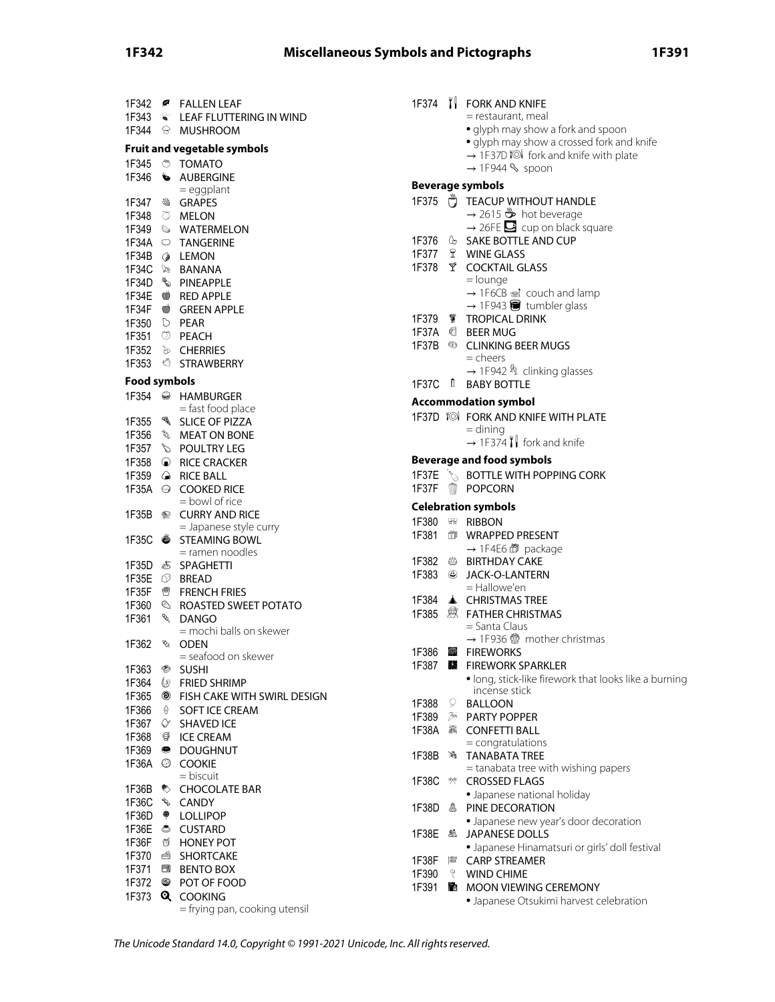# **1F342 Miscellaneous Symbols and Pictographs 1F391**

| 1F342               | ☞              | <b>FALLEN LEAF</b>                   |
|---------------------|----------------|--------------------------------------|
| $1F343$ $\approx$   |                | LEAF FLUTTERING IN WIND              |
| 1F344               | 8              | <b>MUSHROOM</b>                      |
|                     |                | <b>Fruit and vegetable symbols</b>   |
| 1F345               | $\circledcirc$ | <b>TOMATO</b>                        |
| 1F346               | ₩              | <b>AUBERGINE</b>                     |
|                     |                | = eggplant                           |
| 1F347               | ₩              | <b>GRAPES</b>                        |
| 1F348               |                | <b>O</b> MELON                       |
|                     |                | 1F349 WATERMELON                     |
| 1F34A               |                | $\circ$ TANGERINE                    |
| 1F34B               | ◈              | LEMON                                |
| 1F34C               | R              | BANANA                               |
| 1F34D               |                | <b>VEAPPLE</b>                       |
|                     |                | 1F34E <b>6</b> RED APPLE             |
| 1F34F               |                | <b>GREEN APPLE</b>                   |
| 1F350               |                | $\overline{O}$ PEAR                  |
|                     |                | 1F351 <sup>O</sup> PEACH             |
| 1F352               |                | <b>&amp; CHERRIES</b>                |
| 1F353               | - 1            | <b>STRAWBERRY</b>                    |
| <b>Food symbols</b> |                |                                      |
| 1F354               | $\bullet$      | <b>HAMBURGER</b>                     |
|                     |                | = fast food place                    |
| 1F355               | J.             | <b>SLICE OF PIZZA</b>                |
| 1F356               |                | <b>&amp; MEAT ON BONE</b>            |
| 1F357               |                | <b>S</b> POULTRY LEG                 |
| 1F358               |                | <b>E</b> RICE CRACKER                |
| 1F359               |                | A RICE BALL                          |
| 1F35A               | $\Theta$       | <b>COOKED RICE</b><br>= bowl of rice |
| 1F35B               | ◉              | <b>CURRY AND RICE</b>                |
|                     |                | = Japanese style curry               |
| 1F35C               | Ö              | <b>STEAMING BOWL</b>                 |
|                     |                | = ramen noodles                      |
| 1F35D               | 5              | SPAGHETTI                            |
| 1F35E               |                | <b>BREAD</b>                         |
| 1F35F               | 轡              | <b>FRENCH FRIES</b>                  |
| 1F360               | $\mathbb{Q}$   | ROASTED SWEET POTATO                 |
| 1F361               | <b>RA</b>      | <b>DANGO</b>                         |
| 1F362               | ø,             | = mochi balls on skewer<br>ODEN      |
|                     |                | = seafood on skewer                  |
| 1F363               | ◈              | <b>SUSHI</b>                         |
| 1F364               | O              | <b>FRIED SHRIMP</b>                  |
| 1F365               | ◉              | FISH CAKE WITH SWIRL DESIGN          |
| 1F366               | Ŷ.             | <b>SOFT ICE CREAM</b>                |
| 1F367               | ♦              | <b>SHAVED ICE</b>                    |
| 1F368               | g              | <b>ICE CREAM</b>                     |
| 1F369               | ●              | <b>DOUGHNUT</b>                      |
| 1F36A               | $_{\odot}$     | <b>COOKIE</b>                        |
|                     |                | = biscuit                            |
| 1F36B               | 枣              | <b>CHOCOLATE BAR</b>                 |
| 1F36C               | D              | <b>CANDY</b>                         |
| 1F36D               | ♥              | <b>LOLLIPOP</b>                      |
| 1F36E               | ి              | <b>CUSTARD</b>                       |
| 1F36F               | Õ              | <b>HONEY POT</b>                     |
| 1F370               | é              | SHORTCAKE                            |
| 1F371               | 閚              | <b>BENTO BOX</b>                     |
| 1F372               | ❤              | POT OF FOOD                          |
| 1F373               | Q              | <b>COOKING</b>                       |
|                     |                | = frying pan, cooking utensil        |

|                |            | 1F374 I FORK AND KNIFE                                                               |
|----------------|------------|--------------------------------------------------------------------------------------|
|                |            | = restaurant, meal<br>· glyph may show a fork and spoon                              |
|                |            | · glyph may show a crossed fork and knife                                            |
|                |            | → 1F37D I <sup>I</sup> fork and knife with plate<br>$\rightarrow$ 1F944 S spoon      |
|                |            | <b>Beverage symbols</b>                                                              |
| 1F375          |            | TEACUP WITHOUT HANDLE                                                                |
|                |            | $\rightarrow$ 2615 $\overset{\omega}{\rightarrow}$ hot beverage                      |
|                |            | $\rightarrow$ 26FE $\rightarrow$ cup on black square<br>1F376 & SAKE BOTTLE AND CUP  |
|                |            |                                                                                      |
|                |            | 1F377 \tml WINE GLASS<br>1F378 \tml COCKTAIL GLASS                                   |
|                |            | = lounge<br>→ 1F6CB ad couch and lamp                                                |
|                |            | $\rightarrow$ 1F943 $\blacksquare$ tumbler glass                                     |
|                |            | 1F379 TROPICAL DRINK<br>1F37A @ BEER MUG                                             |
|                |            | 1F37B <sup>6</sup> CLINKING BEER MUGS                                                |
|                |            | = cheers                                                                             |
|                |            | $\rightarrow$ 1F942 $\frac{1}{3}$ clinking glasses<br>1F37C <sup>D</sup> BABY BOTTLE |
|                |            | <b>Accommodation symbol</b>                                                          |
|                |            | 1F37D TO FORK AND KNIFE WITH PLATE                                                   |
|                |            | $=$ dining                                                                           |
|                |            | $\rightarrow$ 1F374   fork and knife                                                 |
| 1F37E          | i<br>V     | <b>Beverage and food symbols</b><br><b>BOTTLE WITH POPPING CORK</b>                  |
| 1F37F          | W          | <b>POPCORN</b>                                                                       |
|                |            | <b>Celebration symbols</b>                                                           |
|                |            | 1F380 <sub>HB</sub> RIBBON                                                           |
| 1F381          |            | <b>10 WRAPPED PRESENT</b><br>→ 1F4E6 面 package                                       |
|                |            | 1F382 <sup>b</sup> BIRTHDAY CAKE                                                     |
|                |            | 1F383 @ JACK-O-LANTERN<br>$=$ Hallowe'en                                             |
|                |            | 1F384 → CHRISTMAS TREE                                                               |
|                |            | 1F385 <sup></sup> o FATHER CHRISTMAS                                                 |
|                |            | = Santa Claus<br>→ 1F936 5 mother christmas                                          |
| 1F386          | 鎔          | <b>FIREWORKS</b>                                                                     |
|                |            | 1F387 ▓ FIREWORK SPARKLER                                                            |
|                |            | · long, stick-like firework that looks like a burning<br>incense stick               |
| 1F388          | 9.         | <b>BALLOON</b>                                                                       |
| 1F389<br>1F38A | $\gg$<br>爲 | <b>PARTY POPPER</b><br><b>CONFETTI BALL</b>                                          |
|                |            | $=$ congratulations                                                                  |
| 1F38B          | 滌          | <b>TANABATA TREE</b>                                                                 |
| 1F38C          | R.         | = tanabata tree with wishing papers<br><b>CROSSED FLAGS</b>                          |
|                |            | • Japanese national holiday                                                          |
| 1F38D          | å          | PINE DECORATION<br>· Japanese new year's door decoration                             |
| 1F38E          | 飍          | <b>JAPANESE DOLLS</b>                                                                |
|                |            | • Japanese Hinamatsuri or girls' doll festival                                       |
| 1F38F<br>1F390 | 隱<br>q     | <b>CARP STREAMER</b><br><b>WIND CHIME</b>                                            |
| 1F391          | ľН.        | MOON VIEWING CEREMONY                                                                |

• Japanese Otsukimi harvest celebration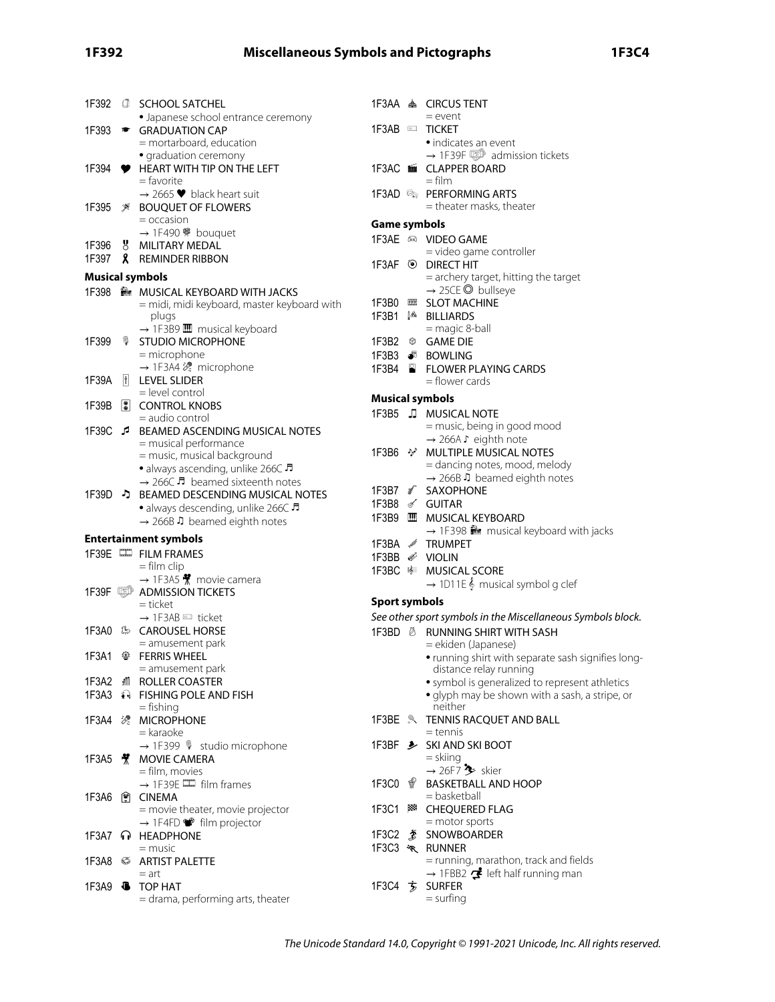# **1F392 Miscellaneous Symbols and Pictographs 1F3C4**

|       |   | 1F392 <i>C</i> SCHOOL SATCHEL                                      |                      | 1F3AA <a> 6<br/> 6<br/> 6<br/> 6<br/> 6<br/> 6<br/> 6<br/> 6<br/> 6<br/> 6<br/> 6<br/> 6<br/> 6<br/> 6<br/> 6<br/> 6<br/> 6<br/> 6<br/> 6<br/> 6<br/> 6<br/> 6<br/> 6<br/> 6<br/><br/><math display="block">\begin{array}{ll} \mbox{A} &amp; \mbox{A} &amp; \mbox{A} \mbox{B} \mbox{A}</math></a> |
|-------|---|--------------------------------------------------------------------|----------------------|---------------------------------------------------------------------------------------------------------------------------------------------------------------------------------------------------------------------------------------------------------------------------------------------------|
|       |   | • Japanese school entrance ceremony                                |                      | $=$ event                                                                                                                                                                                                                                                                                         |
|       |   | 1F393 <sup>★</sup> GRADUATION CAP                                  |                      | 1F3AB TICKET                                                                                                                                                                                                                                                                                      |
|       |   | = mortarboard, education                                           |                      | • indicates an event                                                                                                                                                                                                                                                                              |
|       |   | · graduation ceremony                                              |                      | $\rightarrow$ 1F39F $\circled{=}$ admission tickets                                                                                                                                                                                                                                               |
|       |   | 1F394 <b>•</b> HEART WITH TIP ON THE LEFT<br>= favorite            |                      | 1F3AC ■ CLAPPER BOARD<br>= film                                                                                                                                                                                                                                                                   |
|       |   | $\rightarrow$ 2665 $\blacktriangleright$ black heart suit          |                      | 1F3AD See PERFORMING ARTS                                                                                                                                                                                                                                                                         |
|       |   | 1F395 <b>X</b> BOUQUET OF FLOWERS                                  |                      | = theater masks, theater                                                                                                                                                                                                                                                                          |
|       |   | $=$ occasion                                                       |                      |                                                                                                                                                                                                                                                                                                   |
|       |   | → 1F490<br><sup>#</sup> bouquet                                    | <b>Game symbols</b>  |                                                                                                                                                                                                                                                                                                   |
| 1F396 |   | 8 MILITARY MEDAL                                                   |                      | 1F3AE <sup>®</sup> VIDEO GAME                                                                                                                                                                                                                                                                     |
|       |   | 1F397 <b>&amp;</b> REMINDER RIBBON                                 |                      | = video game controller                                                                                                                                                                                                                                                                           |
|       |   | <b>Musical symbols</b>                                             |                      | 1F3AF <sup>O</sup> DIRECT HIT<br>= archery target, hitting the target                                                                                                                                                                                                                             |
|       |   | 1F398 MUSICAL KEYBOARD WITH JACKS                                  |                      | $\rightarrow$ 25CE $\odot$ bullseye                                                                                                                                                                                                                                                               |
|       |   | = midi, midi keyboard, master keyboard with                        |                      | 1F3B0 BB SLOT MACHINE                                                                                                                                                                                                                                                                             |
|       |   | plugs                                                              |                      | 1F3B1 <sup>\$</sup> BILLIARDS                                                                                                                                                                                                                                                                     |
|       |   | $\rightarrow$ 1F3B9 $\blacksquare$ musical keyboard                |                      | $=$ magic 8-ball                                                                                                                                                                                                                                                                                  |
| 1F399 |   | <b>VECTUDIO MICROPHONE</b>                                         |                      | 1F3B2 <sup>®</sup> GAME DIE                                                                                                                                                                                                                                                                       |
|       |   | = microphone                                                       |                      | 1F3B3 8 BOWLING                                                                                                                                                                                                                                                                                   |
|       |   | → 1F3A4 2 microphone                                               |                      | 1F3B4 FLOWER PLAYING CARDS                                                                                                                                                                                                                                                                        |
| 1F39A | Ħ | <b>LEVEL SLIDER</b>                                                |                      | = flower cards                                                                                                                                                                                                                                                                                    |
|       |   | = level control                                                    |                      | <b>Musical symbols</b>                                                                                                                                                                                                                                                                            |
| 1F39B |   | <b>I</b> CONTROL KNOBS                                             |                      | 1F3B5 JJ MUSICAL NOTE                                                                                                                                                                                                                                                                             |
|       |   | = audio control                                                    |                      | = music, being in good mood                                                                                                                                                                                                                                                                       |
|       |   | 1F39C & BEAMED ASCENDING MUSICAL NOTES                             |                      | → 266A S eighth note                                                                                                                                                                                                                                                                              |
|       |   | = musical performance<br>= music, musical background               |                      | 1F3B6 * MULTIPLE MUSICAL NOTES                                                                                                                                                                                                                                                                    |
|       |   | • always ascending, unlike 266C                                    |                      | = dancing notes, mood, melody                                                                                                                                                                                                                                                                     |
|       |   | $\rightarrow$ 266C $\sqrt{5}$ beamed sixteenth notes               |                      | $\rightarrow$ 266B J beamed eighth notes                                                                                                                                                                                                                                                          |
|       |   | 1F39D • BEAMED DESCENDING MUSICAL NOTES                            |                      | 1F3B7 n <sup>2</sup> SAXOPHONE                                                                                                                                                                                                                                                                    |
|       |   | • always descending, unlike 266C                                   |                      | 1F3B8 o GUITAR                                                                                                                                                                                                                                                                                    |
|       |   | $\rightarrow$ 266B J beamed eighth notes                           |                      | 1F3B9 MUSICAL KEYBOARD                                                                                                                                                                                                                                                                            |
|       |   |                                                                    |                      | $\rightarrow$ 1F398 $\blacksquare$ musical keyboard with jacks                                                                                                                                                                                                                                    |
|       |   | <b>Entertainment symbols</b>                                       |                      | 1F3BA / TRUMPET                                                                                                                                                                                                                                                                                   |
|       |   | 1F39E <sup>II</sup> FILM FRAMES<br>$=$ film clip                   |                      | 1F3BB & VIOLIN                                                                                                                                                                                                                                                                                    |
|       |   | → 1F3A5 $*$ movie camera                                           |                      | 1F3BC © MUSICAL SCORE                                                                                                                                                                                                                                                                             |
|       |   | 1F39F <b>DADMISSION TICKETS</b>                                    |                      | $\rightarrow$ 1D11E $\frac{1}{2}$ musical symbol g clef                                                                                                                                                                                                                                           |
|       |   | $=$ ticket                                                         | <b>Sport symbols</b> |                                                                                                                                                                                                                                                                                                   |
|       |   | $\rightarrow$ 1F3AB $\equiv$ ticket                                |                      | See other sport symbols in the Miscellaneous Symbols block.                                                                                                                                                                                                                                       |
|       |   | 1F3A0 SAROUSEL HORSE                                               |                      | 1F3BD & RUNNING SHIRT WITH SASH                                                                                                                                                                                                                                                                   |
|       |   | $=$ amusement park                                                 |                      | = ekiden (Japanese)                                                                                                                                                                                                                                                                               |
|       |   | 1F3A1 參 FERRIS WHEEL                                               |                      | • running shirt with separate sash signifies long-                                                                                                                                                                                                                                                |
|       |   | = amusement park                                                   |                      | distance relay running                                                                                                                                                                                                                                                                            |
|       |   | 1F3A2 M ROLLER COASTER                                             |                      | • symbol is generalized to represent athletics                                                                                                                                                                                                                                                    |
|       |   | 1F3A3 + FISHING POLE AND FISH                                      |                      | · glyph may be shown with a sash, a stripe, or                                                                                                                                                                                                                                                    |
|       |   | $=$ fishing                                                        |                      | neither                                                                                                                                                                                                                                                                                           |
|       |   | 1F3A4 % MICROPHONE                                                 |                      | 1F3BE & TENNIS RACQUET AND BALL                                                                                                                                                                                                                                                                   |
|       |   | = karaoke                                                          |                      | = tennis<br>1F3BF → SKI AND SKI BOOT                                                                                                                                                                                                                                                              |
|       |   | $\rightarrow$ 1F399 $\%$ studio microphone<br>1F3A5 S MOVIE CAMERA |                      | = skiing                                                                                                                                                                                                                                                                                          |
|       |   | = film, movies                                                     |                      | $\rightarrow$ 26F7 $\rightarrow$ skier                                                                                                                                                                                                                                                            |
|       |   | $\rightarrow$ 1F39E $\Box$ film frames                             | 1F3C0 $\sqrt$        | <b>BASKETBALL AND HOOP</b>                                                                                                                                                                                                                                                                        |
|       |   | 1F3A6 图 CINEMA                                                     |                      | = basketball                                                                                                                                                                                                                                                                                      |
|       |   | = movie theater, movie projector                                   |                      | 1F3C1 88 CHEQUERED FLAG                                                                                                                                                                                                                                                                           |
|       |   | $\rightarrow$ 1F4FD $\bullet$ film projector                       |                      | = motor sports                                                                                                                                                                                                                                                                                    |
|       |   | 1F3A7 n HEADPHONE                                                  |                      | 1F3C2 <u>≸</u> SNOWBOARDER                                                                                                                                                                                                                                                                        |
|       |   | = music                                                            |                      | 1F3C3 * RUNNER                                                                                                                                                                                                                                                                                    |
| 1F3A8 |   | ARTIST PALETTE                                                     |                      | = running, marathon, track and fields                                                                                                                                                                                                                                                             |
|       |   | $=$ art                                                            |                      | $\rightarrow$ 1FBB2 $\mathbf{F}$ left half running man                                                                                                                                                                                                                                            |
|       |   | 1F3A9 <b>6</b> TOP HAT                                             |                      | 1F3C4 方 SURFER                                                                                                                                                                                                                                                                                    |
|       |   | = drama, performing arts, theater                                  |                      | $=$ surfing                                                                                                                                                                                                                                                                                       |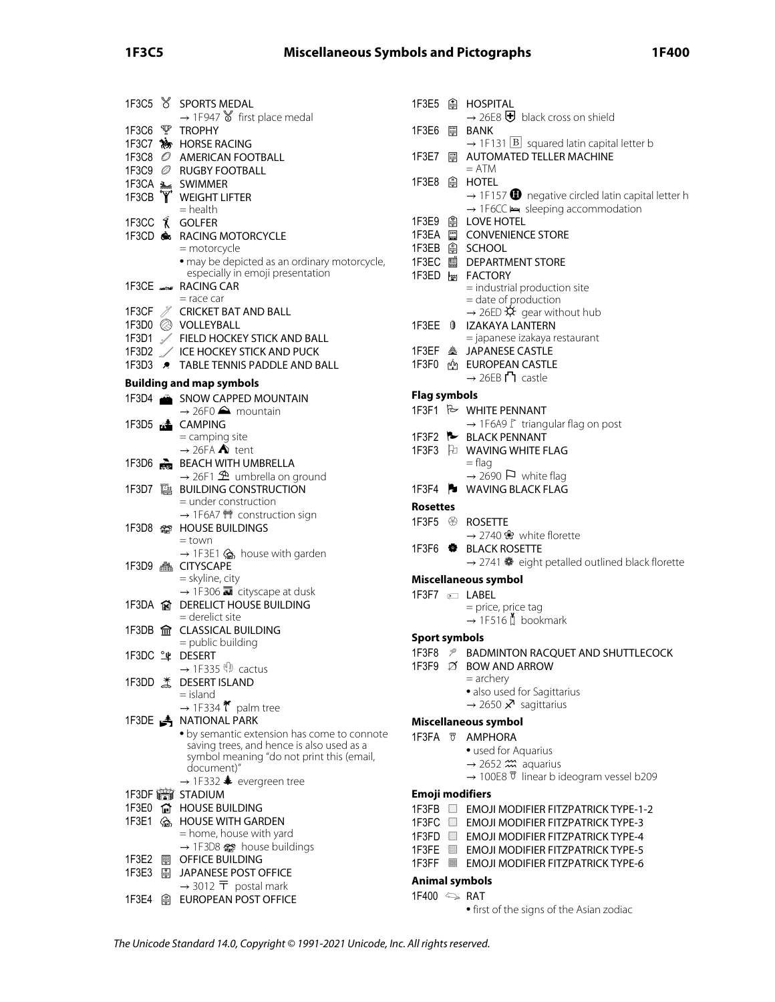# **1F3C5 Miscellaneous Symbols and Pictographs 1F400**

|                 |             | 1F3C5 & SPORTS MEDAL                                                                   |
|-----------------|-------------|----------------------------------------------------------------------------------------|
|                 |             | $\rightarrow$ 1F947 $\delta$ first place medal<br>1F3C6 P TROPHY                       |
|                 |             | 1F3C7 My HORSE RACING                                                                  |
|                 |             | 1F3C8 @ AMERICAN FOOTBALL                                                              |
|                 |             | 1F3C9 @ RUGBY FOOTBALL                                                                 |
|                 |             |                                                                                        |
|                 | y'          | 1F3CA <b>3 GWIMMER</b><br>1F3CB <b>Y</b> WEIGHT LIFTER                                 |
|                 |             | $=$ health                                                                             |
|                 |             | 1F3CC <i>K</i> GOLFER                                                                  |
|                 |             | 1F3CD & RACING MOTORCYCLE<br>= motorcycle                                              |
|                 |             | · may be depicted as an ordinary motorcycle,                                           |
|                 |             | especially in emoji presentation                                                       |
|                 |             | 1F3CE SANG CAR                                                                         |
|                 |             | = race car                                                                             |
|                 |             | 1F3CF / CRICKET BAT AND BALL                                                           |
|                 |             | 1F3D0 @ VOLLEYBALL<br>1F3D1 / FIELD HOCKEY STICK AND BALL                              |
|                 |             | 1F3D2 / ICE HOCKEY STICK AND PUCK                                                      |
| 1F3D3 $\bullet$ |             | TABLE TENNIS PADDLE AND BALL                                                           |
|                 |             | <b>Building and map symbols</b>                                                        |
|                 |             | 1F3D4 SNOW CAPPED MOUNTAIN                                                             |
|                 |             | $\rightarrow$ 26F0 $\triangle$ mountain                                                |
|                 |             | 1F3D5 <b>A</b> CAMPING                                                                 |
|                 |             | = camping site                                                                         |
|                 |             | $\rightarrow$ 26FA $\spadesuit$ tent                                                   |
|                 |             | 1F3D6 BEACH WITH UMBRELLA<br>$\rightarrow$ 26F1 $\hat{\mathcal{D}}$ umbrella on ground |
|                 |             |                                                                                        |
|                 |             | = under construction                                                                   |
|                 |             | → 1F6A7 1 construction sign                                                            |
| 1F3D8           |             | <b>MS</b> HOUSE BUILDINGS                                                              |
|                 |             | $=$ town<br>→ 1F3E1 <a> house with garden</a>                                          |
|                 |             | 1F3D9 A CITYSCAPE                                                                      |
|                 |             | = skyline, city                                                                        |
|                 |             | $\rightarrow$ 1F306 $\rightarrow$ cityscape at dusk                                    |
|                 |             | 1F3DA & DERELICT HOUSE BUILDING<br>$=$ derelict site                                   |
|                 |             | 1F3DB <b>命</b> CLASSICAL BUILDING                                                      |
|                 |             | = public building                                                                      |
| 1F3DC 斗         |             | <b>DESERT</b>                                                                          |
|                 |             | $\rightarrow$ 1F335 $\mathbb{P}$ cactus                                                |
|                 |             | 1F3DD *CDESERT ISLAND<br>= island                                                      |
|                 |             | $\rightarrow$ 1F334 $\tilde{\mathbf{t}}$ palm tree                                     |
|                 |             | 1F3DE A NATIONAL PARK                                                                  |
|                 |             | • by semantic extension has come to connote                                            |
|                 |             | saving trees, and hence is also used as a<br>symbol meaning "do not print this (email, |
|                 |             | document)"                                                                             |
|                 |             | → 1F332 $\clubsuit$ evergreen tree                                                     |
| 1F3DF 曾         |             | <b>STADIUM</b>                                                                         |
| 1F3E0           | ଢ           | <b>HOUSE BUILDING</b>                                                                  |
| 1F3E1           | $G_{\rm b}$ | <b>HOUSE WITH GARDEN</b><br>= home, house with yard                                    |
|                 |             | $\rightarrow$ 1F3D8 $\omega$ house buildings                                           |
| 1F3E2           | ▦           | OFFICE BUILDING                                                                        |
| 1F3E3           | 副           | <b>JAPANESE POST OFFICE</b>                                                            |
|                 |             | $\rightarrow$ 3012 $\overline{T}$ postal mark                                          |
| 1F3E4           | ß           | EUROPEAN POST OFFICE                                                                   |

| $\rightarrow$ 26E8 $\overline{\mathbf{\Theta}}$ black cross on shield<br>1F3E6<br><b>BANK</b><br>$\rightarrow$ 1F131   B squared latin capital letter b<br><b>AUTOMATED TELLER MACHINE</b><br>1F3E7<br>Γ<br>$= ATM$<br>1F3E8<br>⊕<br><b>HOTEL</b><br>→ 1F6CC → sleeping accommodation<br>1F3E9<br><b>LOVE HOTEL</b><br>⊮<br>1F3EA<br>CONVENIENCE STORE<br>1F3EB<br>A SCHOOL<br>1F3EC<br><b>■ DEPARTMENT STORE</b><br>1F3ED M FACTORY<br>= industrial production site<br>= date of production<br>→ 26ED $\hat{\mathsf{X}}$ gear without hub<br>1F3EE<br><b>IZAKAYA LANTERN</b><br>$^{\circ}$<br>= japanese izakaya restaurant<br>鑫 JAPANESE CASTLE<br>1F3EF<br>1F3F0<br><b>EUROPEAN CASTLE</b><br>டிப்<br>$\rightarrow$ 26EB $\Gamma$ castle<br><b>Flag symbols</b><br>1F3F1 & WHITE PENNANT<br>→ 1F6A9 I triangular flag on post<br>1F3F2 <b>BLACK PENNANT</b><br>1F3F3 Fa WAVING WHITE FLAG<br>$=$ flag<br>$\rightarrow$ 2690 $\Box$ white flag<br>1F3F4 <b>B</b> WAVING BLACK FLAG<br><b>Rosettes</b><br>1F3F5 <sup>®</sup> ROSETTE<br>$\rightarrow$ 2740 $\cdot$ white florette<br>1F3F6 $\bullet$<br><b>BLACK ROSETTE</b><br>$\rightarrow$ 2741 $\bullet$ eight petalled outlined black florette<br>Miscellaneous symbol<br>1F3F7 @ LABEL<br>= price, price tag<br>$\rightarrow$ 1F516 $\uparrow$ bookmark<br><b>Sport symbols</b><br>1F3F8 <sup>9</sup> BADMINTON RACQUET AND SHUTTLECOCK<br>1F3F9 Ø BOW AND ARROW<br>$=$ archery<br>· also used for Sagittarius<br>$\rightarrow$ 2650 $\times$ sagittarius<br>Miscellaneous symbol<br>1F3FA <b>W</b> AMPHORA<br>• used for Aquarius<br>$\rightarrow$ 2652 $\hat{m}$ aquarius<br>→ 100E8 $\overline{v}$ linear b ideogram vessel b209<br><b>Emoji modifiers</b><br>1F3FB<br>$\Box$<br><b>EMOJI MODIFIER FITZPATRICK TYPE-1-2</b><br>1F3FC DI<br><b>EMOJI MODIFIER FITZPATRICK TYPE-3</b> | 1F3E5<br>⊕ | <b>HOSPITAL</b>                                                       |
|-----------------------------------------------------------------------------------------------------------------------------------------------------------------------------------------------------------------------------------------------------------------------------------------------------------------------------------------------------------------------------------------------------------------------------------------------------------------------------------------------------------------------------------------------------------------------------------------------------------------------------------------------------------------------------------------------------------------------------------------------------------------------------------------------------------------------------------------------------------------------------------------------------------------------------------------------------------------------------------------------------------------------------------------------------------------------------------------------------------------------------------------------------------------------------------------------------------------------------------------------------------------------------------------------------------------------------------------------------------------------------------------------------------------------------------------------------------------------------------------------------------------------------------------------------------------------------------------------------------------------------------------------------------------------------------------------------------------------------------------------------------------------------------------------------------------------------------------------|------------|-----------------------------------------------------------------------|
|                                                                                                                                                                                                                                                                                                                                                                                                                                                                                                                                                                                                                                                                                                                                                                                                                                                                                                                                                                                                                                                                                                                                                                                                                                                                                                                                                                                                                                                                                                                                                                                                                                                                                                                                                                                                                                               |            |                                                                       |
|                                                                                                                                                                                                                                                                                                                                                                                                                                                                                                                                                                                                                                                                                                                                                                                                                                                                                                                                                                                                                                                                                                                                                                                                                                                                                                                                                                                                                                                                                                                                                                                                                                                                                                                                                                                                                                               |            |                                                                       |
|                                                                                                                                                                                                                                                                                                                                                                                                                                                                                                                                                                                                                                                                                                                                                                                                                                                                                                                                                                                                                                                                                                                                                                                                                                                                                                                                                                                                                                                                                                                                                                                                                                                                                                                                                                                                                                               |            |                                                                       |
|                                                                                                                                                                                                                                                                                                                                                                                                                                                                                                                                                                                                                                                                                                                                                                                                                                                                                                                                                                                                                                                                                                                                                                                                                                                                                                                                                                                                                                                                                                                                                                                                                                                                                                                                                                                                                                               |            | $\rightarrow$ 1F157 $\bullet$ negative circled latin capital letter h |
|                                                                                                                                                                                                                                                                                                                                                                                                                                                                                                                                                                                                                                                                                                                                                                                                                                                                                                                                                                                                                                                                                                                                                                                                                                                                                                                                                                                                                                                                                                                                                                                                                                                                                                                                                                                                                                               |            |                                                                       |
|                                                                                                                                                                                                                                                                                                                                                                                                                                                                                                                                                                                                                                                                                                                                                                                                                                                                                                                                                                                                                                                                                                                                                                                                                                                                                                                                                                                                                                                                                                                                                                                                                                                                                                                                                                                                                                               |            |                                                                       |
|                                                                                                                                                                                                                                                                                                                                                                                                                                                                                                                                                                                                                                                                                                                                                                                                                                                                                                                                                                                                                                                                                                                                                                                                                                                                                                                                                                                                                                                                                                                                                                                                                                                                                                                                                                                                                                               |            |                                                                       |
|                                                                                                                                                                                                                                                                                                                                                                                                                                                                                                                                                                                                                                                                                                                                                                                                                                                                                                                                                                                                                                                                                                                                                                                                                                                                                                                                                                                                                                                                                                                                                                                                                                                                                                                                                                                                                                               |            |                                                                       |
|                                                                                                                                                                                                                                                                                                                                                                                                                                                                                                                                                                                                                                                                                                                                                                                                                                                                                                                                                                                                                                                                                                                                                                                                                                                                                                                                                                                                                                                                                                                                                                                                                                                                                                                                                                                                                                               |            |                                                                       |
|                                                                                                                                                                                                                                                                                                                                                                                                                                                                                                                                                                                                                                                                                                                                                                                                                                                                                                                                                                                                                                                                                                                                                                                                                                                                                                                                                                                                                                                                                                                                                                                                                                                                                                                                                                                                                                               |            |                                                                       |
|                                                                                                                                                                                                                                                                                                                                                                                                                                                                                                                                                                                                                                                                                                                                                                                                                                                                                                                                                                                                                                                                                                                                                                                                                                                                                                                                                                                                                                                                                                                                                                                                                                                                                                                                                                                                                                               |            |                                                                       |
|                                                                                                                                                                                                                                                                                                                                                                                                                                                                                                                                                                                                                                                                                                                                                                                                                                                                                                                                                                                                                                                                                                                                                                                                                                                                                                                                                                                                                                                                                                                                                                                                                                                                                                                                                                                                                                               |            |                                                                       |
|                                                                                                                                                                                                                                                                                                                                                                                                                                                                                                                                                                                                                                                                                                                                                                                                                                                                                                                                                                                                                                                                                                                                                                                                                                                                                                                                                                                                                                                                                                                                                                                                                                                                                                                                                                                                                                               |            |                                                                       |
|                                                                                                                                                                                                                                                                                                                                                                                                                                                                                                                                                                                                                                                                                                                                                                                                                                                                                                                                                                                                                                                                                                                                                                                                                                                                                                                                                                                                                                                                                                                                                                                                                                                                                                                                                                                                                                               |            |                                                                       |
|                                                                                                                                                                                                                                                                                                                                                                                                                                                                                                                                                                                                                                                                                                                                                                                                                                                                                                                                                                                                                                                                                                                                                                                                                                                                                                                                                                                                                                                                                                                                                                                                                                                                                                                                                                                                                                               |            |                                                                       |
|                                                                                                                                                                                                                                                                                                                                                                                                                                                                                                                                                                                                                                                                                                                                                                                                                                                                                                                                                                                                                                                                                                                                                                                                                                                                                                                                                                                                                                                                                                                                                                                                                                                                                                                                                                                                                                               |            |                                                                       |
|                                                                                                                                                                                                                                                                                                                                                                                                                                                                                                                                                                                                                                                                                                                                                                                                                                                                                                                                                                                                                                                                                                                                                                                                                                                                                                                                                                                                                                                                                                                                                                                                                                                                                                                                                                                                                                               |            |                                                                       |
|                                                                                                                                                                                                                                                                                                                                                                                                                                                                                                                                                                                                                                                                                                                                                                                                                                                                                                                                                                                                                                                                                                                                                                                                                                                                                                                                                                                                                                                                                                                                                                                                                                                                                                                                                                                                                                               |            |                                                                       |
|                                                                                                                                                                                                                                                                                                                                                                                                                                                                                                                                                                                                                                                                                                                                                                                                                                                                                                                                                                                                                                                                                                                                                                                                                                                                                                                                                                                                                                                                                                                                                                                                                                                                                                                                                                                                                                               |            |                                                                       |
|                                                                                                                                                                                                                                                                                                                                                                                                                                                                                                                                                                                                                                                                                                                                                                                                                                                                                                                                                                                                                                                                                                                                                                                                                                                                                                                                                                                                                                                                                                                                                                                                                                                                                                                                                                                                                                               |            |                                                                       |
|                                                                                                                                                                                                                                                                                                                                                                                                                                                                                                                                                                                                                                                                                                                                                                                                                                                                                                                                                                                                                                                                                                                                                                                                                                                                                                                                                                                                                                                                                                                                                                                                                                                                                                                                                                                                                                               |            |                                                                       |
|                                                                                                                                                                                                                                                                                                                                                                                                                                                                                                                                                                                                                                                                                                                                                                                                                                                                                                                                                                                                                                                                                                                                                                                                                                                                                                                                                                                                                                                                                                                                                                                                                                                                                                                                                                                                                                               |            |                                                                       |
|                                                                                                                                                                                                                                                                                                                                                                                                                                                                                                                                                                                                                                                                                                                                                                                                                                                                                                                                                                                                                                                                                                                                                                                                                                                                                                                                                                                                                                                                                                                                                                                                                                                                                                                                                                                                                                               |            |                                                                       |
|                                                                                                                                                                                                                                                                                                                                                                                                                                                                                                                                                                                                                                                                                                                                                                                                                                                                                                                                                                                                                                                                                                                                                                                                                                                                                                                                                                                                                                                                                                                                                                                                                                                                                                                                                                                                                                               |            |                                                                       |
|                                                                                                                                                                                                                                                                                                                                                                                                                                                                                                                                                                                                                                                                                                                                                                                                                                                                                                                                                                                                                                                                                                                                                                                                                                                                                                                                                                                                                                                                                                                                                                                                                                                                                                                                                                                                                                               |            |                                                                       |
|                                                                                                                                                                                                                                                                                                                                                                                                                                                                                                                                                                                                                                                                                                                                                                                                                                                                                                                                                                                                                                                                                                                                                                                                                                                                                                                                                                                                                                                                                                                                                                                                                                                                                                                                                                                                                                               |            |                                                                       |
|                                                                                                                                                                                                                                                                                                                                                                                                                                                                                                                                                                                                                                                                                                                                                                                                                                                                                                                                                                                                                                                                                                                                                                                                                                                                                                                                                                                                                                                                                                                                                                                                                                                                                                                                                                                                                                               |            |                                                                       |
|                                                                                                                                                                                                                                                                                                                                                                                                                                                                                                                                                                                                                                                                                                                                                                                                                                                                                                                                                                                                                                                                                                                                                                                                                                                                                                                                                                                                                                                                                                                                                                                                                                                                                                                                                                                                                                               |            |                                                                       |
|                                                                                                                                                                                                                                                                                                                                                                                                                                                                                                                                                                                                                                                                                                                                                                                                                                                                                                                                                                                                                                                                                                                                                                                                                                                                                                                                                                                                                                                                                                                                                                                                                                                                                                                                                                                                                                               |            |                                                                       |
|                                                                                                                                                                                                                                                                                                                                                                                                                                                                                                                                                                                                                                                                                                                                                                                                                                                                                                                                                                                                                                                                                                                                                                                                                                                                                                                                                                                                                                                                                                                                                                                                                                                                                                                                                                                                                                               |            |                                                                       |
|                                                                                                                                                                                                                                                                                                                                                                                                                                                                                                                                                                                                                                                                                                                                                                                                                                                                                                                                                                                                                                                                                                                                                                                                                                                                                                                                                                                                                                                                                                                                                                                                                                                                                                                                                                                                                                               |            |                                                                       |
|                                                                                                                                                                                                                                                                                                                                                                                                                                                                                                                                                                                                                                                                                                                                                                                                                                                                                                                                                                                                                                                                                                                                                                                                                                                                                                                                                                                                                                                                                                                                                                                                                                                                                                                                                                                                                                               |            |                                                                       |
|                                                                                                                                                                                                                                                                                                                                                                                                                                                                                                                                                                                                                                                                                                                                                                                                                                                                                                                                                                                                                                                                                                                                                                                                                                                                                                                                                                                                                                                                                                                                                                                                                                                                                                                                                                                                                                               |            |                                                                       |
|                                                                                                                                                                                                                                                                                                                                                                                                                                                                                                                                                                                                                                                                                                                                                                                                                                                                                                                                                                                                                                                                                                                                                                                                                                                                                                                                                                                                                                                                                                                                                                                                                                                                                                                                                                                                                                               |            |                                                                       |
|                                                                                                                                                                                                                                                                                                                                                                                                                                                                                                                                                                                                                                                                                                                                                                                                                                                                                                                                                                                                                                                                                                                                                                                                                                                                                                                                                                                                                                                                                                                                                                                                                                                                                                                                                                                                                                               |            |                                                                       |
| 1F3FD <b>EMOJI MODIFIER FITZPATRICK TYPE-4</b>                                                                                                                                                                                                                                                                                                                                                                                                                                                                                                                                                                                                                                                                                                                                                                                                                                                                                                                                                                                                                                                                                                                                                                                                                                                                                                                                                                                                                                                                                                                                                                                                                                                                                                                                                                                                |            |                                                                       |
|                                                                                                                                                                                                                                                                                                                                                                                                                                                                                                                                                                                                                                                                                                                                                                                                                                                                                                                                                                                                                                                                                                                                                                                                                                                                                                                                                                                                                                                                                                                                                                                                                                                                                                                                                                                                                                               |            | <b>EMOJI MODIFIER FITZPATRICK TYPE-5</b>                              |
| 1F3FE                                                                                                                                                                                                                                                                                                                                                                                                                                                                                                                                                                                                                                                                                                                                                                                                                                                                                                                                                                                                                                                                                                                                                                                                                                                                                                                                                                                                                                                                                                                                                                                                                                                                                                                                                                                                                                         |            |                                                                       |
| 1F3FF<br><b>EMOJI MODIFIER FITZPATRICK TYPE-6</b>                                                                                                                                                                                                                                                                                                                                                                                                                                                                                                                                                                                                                                                                                                                                                                                                                                                                                                                                                                                                                                                                                                                                                                                                                                                                                                                                                                                                                                                                                                                                                                                                                                                                                                                                                                                             |            |                                                                       |
|                                                                                                                                                                                                                                                                                                                                                                                                                                                                                                                                                                                                                                                                                                                                                                                                                                                                                                                                                                                                                                                                                                                                                                                                                                                                                                                                                                                                                                                                                                                                                                                                                                                                                                                                                                                                                                               |            |                                                                       |
|                                                                                                                                                                                                                                                                                                                                                                                                                                                                                                                                                                                                                                                                                                                                                                                                                                                                                                                                                                                                                                                                                                                                                                                                                                                                                                                                                                                                                                                                                                                                                                                                                                                                                                                                                                                                                                               |            |                                                                       |
|                                                                                                                                                                                                                                                                                                                                                                                                                                                                                                                                                                                                                                                                                                                                                                                                                                                                                                                                                                                                                                                                                                                                                                                                                                                                                                                                                                                                                                                                                                                                                                                                                                                                                                                                                                                                                                               |            |                                                                       |
|                                                                                                                                                                                                                                                                                                                                                                                                                                                                                                                                                                                                                                                                                                                                                                                                                                                                                                                                                                                                                                                                                                                                                                                                                                                                                                                                                                                                                                                                                                                                                                                                                                                                                                                                                                                                                                               |            |                                                                       |
| Animal symbols<br>1F400 $\Leftrightarrow$ RAT                                                                                                                                                                                                                                                                                                                                                                                                                                                                                                                                                                                                                                                                                                                                                                                                                                                                                                                                                                                                                                                                                                                                                                                                                                                                                                                                                                                                                                                                                                                                                                                                                                                                                                                                                                                                 |            |                                                                       |

• first of the signs of the Asian zodiac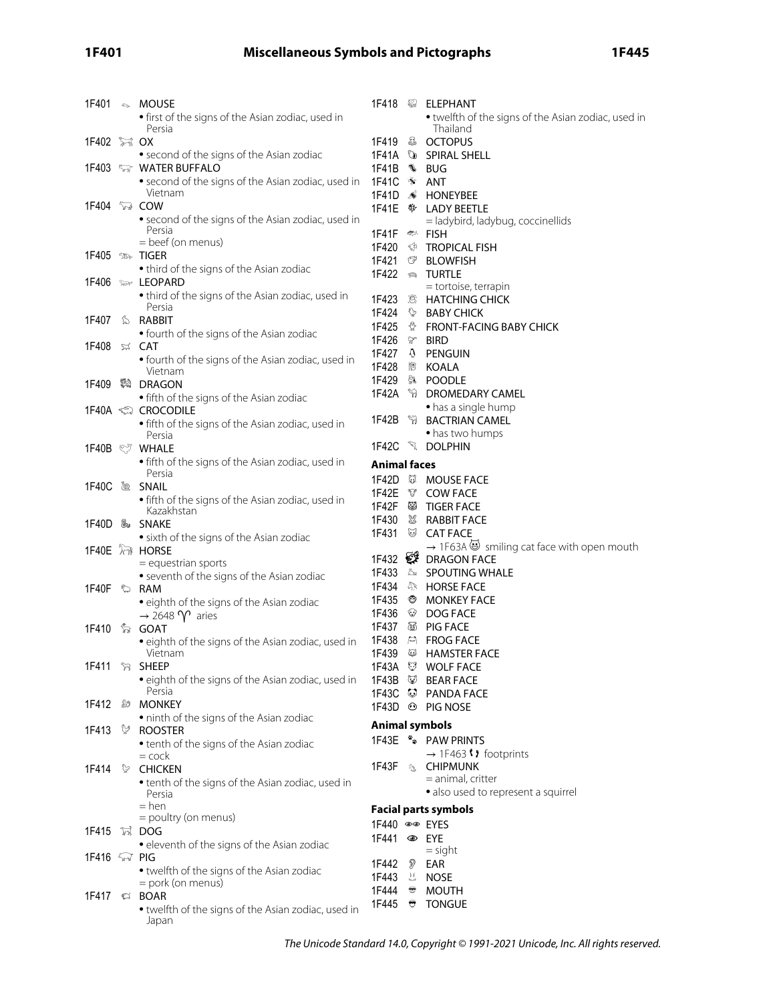# **1F401 Miscellaneous Symbols and Pictographs 1F445**

| 1F401                | $\mathfrak{S}$ MOUSE                                                        |                     |                | 1F418 <sup>32</sup> ELEPHANT                                                              |
|----------------------|-----------------------------------------------------------------------------|---------------------|----------------|-------------------------------------------------------------------------------------------|
|                      | • first of the signs of the Asian zodiac, used in                           |                     |                | • twelfth of the signs of the Asian zodiac, used in                                       |
|                      | Persia                                                                      |                     |                | Thailand                                                                                  |
|                      |                                                                             | 1F419               |                | <b>&amp; OCTOPUS</b>                                                                      |
|                      | • second of the signs of the Asian zodiac                                   |                     |                | 1F41A & SPIRAL SHELL                                                                      |
|                      | 1F403 <b>WATER BUFFALO</b>                                                  | 1F41B               |                | ∜⊪ BUG                                                                                    |
|                      | • second of the signs of the Asian zodiac, used in                          | 1F41C               |                | * ANT                                                                                     |
|                      | Vietnam                                                                     | 1F41D               | B.             | HONEYBEE                                                                                  |
| 1F404 <b>6</b> COW   |                                                                             |                     |                |                                                                                           |
|                      | • second of the signs of the Asian zodiac, used in                          |                     |                | = ladybird, ladybug, coccinellids                                                         |
|                      | Persia<br>= beef (on menus)                                                 | 1F41F <> FISH       |                |                                                                                           |
|                      | 1F405 <sub>™</sub> TIGER                                                    | 1F420               |                | <b><i>S</i></b> TROPICAL FISH                                                             |
|                      | • third of the signs of the Asian zodiac                                    | 1F421               | ☞              | <b>BLOWFISH</b>                                                                           |
|                      | 1F406 Suav LEOPARD                                                          | 1F422               | $\mathfrak{D}$ | <b>TURTLE</b>                                                                             |
|                      | • third of the signs of the Asian zodiac, used in                           |                     |                | = tortoise, terrapin                                                                      |
|                      | Persia                                                                      | 1F423               |                | . B HATCHING CHICK                                                                        |
| 1F407                | <b>S</b> RABBIT                                                             | 1F424               |                | <b>BABY CHICK</b>                                                                         |
|                      | • fourth of the signs of the Asian zodiac                                   | 1F425<br>1F426      |                | <b><i>A</i></b> FRONT-FACING BABY CHICK                                                   |
| 1F408                | ¤ CAT                                                                       | 1F427               |                | <del></del> BIRD<br><b>A</b> PENGUIN                                                      |
|                      | • fourth of the signs of the Asian zodiac, used in                          | 1F428               |                |                                                                                           |
|                      | Vietnam                                                                     | 1F429               |                | <sup>  笥</sup> KOALA<br><b>第 POODLE</b>                                                   |
| 1F409                | 科 DRAGON                                                                    | 1F42A               |                | <b>W</b> DROMEDARY CAMEL                                                                  |
|                      | • fifth of the signs of the Asian zodiac                                    |                     |                | • has a single hump                                                                       |
|                      | 1F40A <ූ Crocodile                                                          | 1F42B               |                | <b>WE BACTRIAN CAMEL</b>                                                                  |
|                      | • fifth of the signs of the Asian zodiac, used in<br>Persia                 |                     |                | • has two humps                                                                           |
|                      | 1F40B  ੋਂ WHALE                                                             |                     |                | 1F42C & DOLPHIN                                                                           |
|                      | • fifth of the signs of the Asian zodiac, used in                           |                     |                |                                                                                           |
|                      | Persia                                                                      | <b>Animal faces</b> |                |                                                                                           |
| 1F40C                | ® SNAIL                                                                     | 1F42D               |                | <b>WE MOUSE FACE</b>                                                                      |
|                      | • fifth of the signs of the Asian zodiac, used in                           | 1F42E               |                | <b>V</b> COW FACE                                                                         |
|                      | Kazakhstan                                                                  | 1F42F               |                | <sup>@</sup> TIGER FACE                                                                   |
|                      | 1F40D ‰ SNAKE                                                               | 1F430<br>1F431      | U              | & RABBIT FACE                                                                             |
|                      | • sixth of the signs of the Asian zodiac                                    |                     |                | <b>CAT FACE</b><br>$\rightarrow$ 1F63A $\dddot{\bullet}$ smiling cat face with open mouth |
|                      | 1F40E M HORSE                                                               |                     |                | 1F432 $\mathcal{F}$ DRAGON FACE                                                           |
|                      | $=$ equestrian sports                                                       | 1F433               |                | <b>Ex SPOUTING WHALE</b>                                                                  |
|                      | • seventh of the signs of the Asian zodiac                                  | 1F434               |                | <i></i> <b>HORSE FACE</b>                                                                 |
| 1F40F ©              | RAM                                                                         | 1F435               |                | <b><sup>®</sup></b> MONKEY FACE                                                           |
|                      | • eighth of the signs of the Asian zodiac                                   | 1F436               |                | <sup>₩</sup> DOG FACE                                                                     |
|                      | $\rightarrow$ 2648 $\gamma$ aries<br>1F410 ‰ GOAT                           | 1F437               |                | <sup>3</sup> PIG FACE                                                                     |
|                      | • eighth of the signs of the Asian zodiac, used in                          | 1F438               |                | <b>EN FROG FACE</b>                                                                       |
|                      | Vietnam                                                                     | 1F439               | ₩              | HAMSTER FACE                                                                              |
|                      | 1F411 \ SHEEP                                                               |                     |                | 1F43A WOLF FACE                                                                           |
|                      | • eighth of the signs of the Asian zodiac, used in                          |                     |                | 1F43B & BEAR FACE                                                                         |
|                      | Persia                                                                      |                     |                | 1F43C C PANDA FACE                                                                        |
| 1F412                | <b><i><b><i></i></b> MONKEY</i></b>                                         |                     |                | 1F43D <sup>⊙</sup> PIG NOSE                                                               |
|                      | • ninth of the signs of the Asian zodiac                                    |                     |                | <b>Animal symbols</b>                                                                     |
| 1F413                | <b>V</b> ROOSTER                                                            |                     |                | 1F43E ** PAW PRINTS                                                                       |
|                      | • tenth of the signs of the Asian zodiac                                    |                     |                | → 1F463 () footprints                                                                     |
| 1F414                | $=$ cock                                                                    |                     |                | 1F43F & CHIPMUNK                                                                          |
|                      | CHICKEN<br>• tenth of the signs of the Asian zodiac, used in                |                     |                | $=$ animal, critter                                                                       |
|                      | Persia                                                                      |                     |                | · also used to represent a squirrel                                                       |
|                      | $=$ hen                                                                     |                     |                | <b>Facial parts symbols</b>                                                               |
|                      | = poultry (on menus)                                                        | 1F440 ®® EYES       |                |                                                                                           |
| 1F415                | 冠 DOG                                                                       |                     |                |                                                                                           |
|                      | • eleventh of the signs of the Asian zodiac                                 | 1F441               |                | $=$ sight                                                                                 |
| 1F416 <i>ଲ</i> େ PIG |                                                                             |                     |                |                                                                                           |
|                      |                                                                             |                     |                |                                                                                           |
|                      | • twelfth of the signs of the Asian zodiac                                  | 1F442               | Ð              | EAR                                                                                       |
|                      | = pork (on menus)                                                           | 1F443               |                | 3. NOSE                                                                                   |
|                      | 1F417 $\approx$ BOAR<br>• twelfth of the signs of the Asian zodiac, used in | 1F444<br>1F445      | ₩              | $\bullet$ MOUTH<br><b>TONGUE</b>                                                          |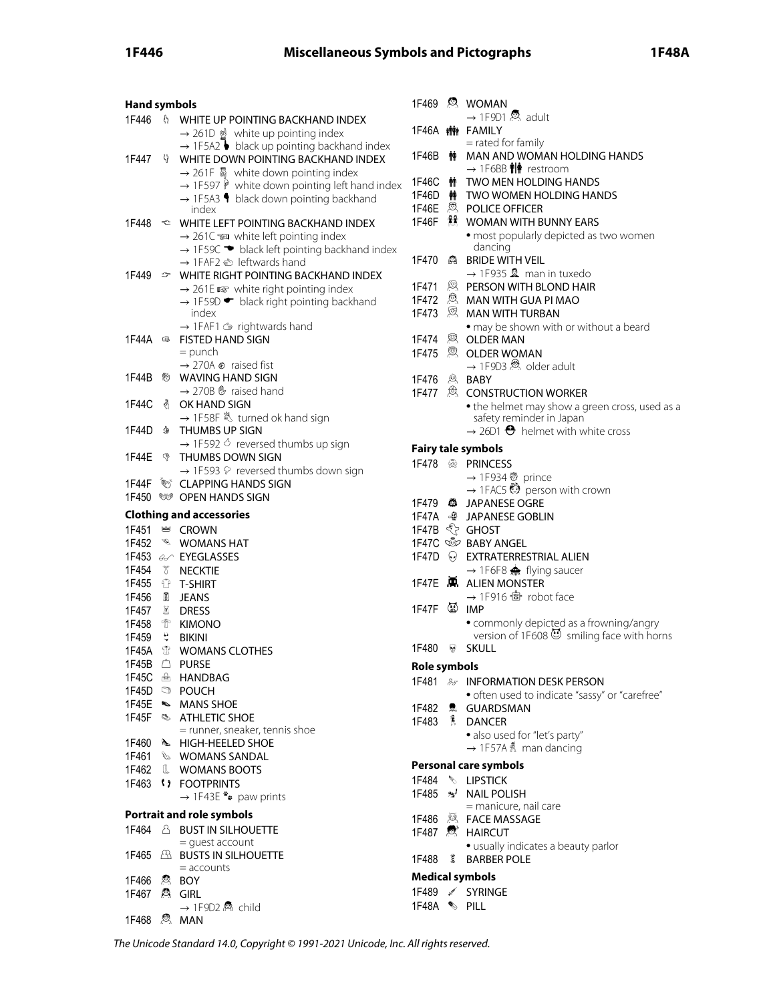# **1F446 Miscellaneous Symbols and Pictographs 1F48A**

| <b>Hand symbols</b>   |                         |                                                                                                                                                                                                                                                                                                                                         |
|-----------------------|-------------------------|-----------------------------------------------------------------------------------------------------------------------------------------------------------------------------------------------------------------------------------------------------------------------------------------------------------------------------------------|
| 1F446                 |                         | <b>N</b> WHITE UP POINTING BACKHAND INDEX<br>$\rightarrow$ 261D $\mathcal{D}$ white up pointing index                                                                                                                                                                                                                                   |
| 1F447                 |                         | $\rightarrow$ 1F5A2 $\bullet$ black up pointing backhand index<br>WHITE DOWN POINTING BACKHAND INDEX<br>$\rightarrow$ 261F $\overline{\mathbb{Q}}$ white down pointing index<br>$\rightarrow$ 1F597 $\mathsf{\hat{P}}$ white down pointing left hand index<br>$\rightarrow$ 1F5A3 $\blacklozenge$ black down pointing backhand<br>index |
|                       |                         | 1F448 <sup>←</sup> WHITE LEFT POINTING BACKHAND INDEX<br>$\rightarrow$ 261C $\approx$ white left pointing index<br>$\rightarrow$ 1F59C $\rightarrow$ black left pointing backhand index<br>→ 1FAF2 < leftwards hand                                                                                                                     |
| 1F449                 |                         | $\mathcal{P}$ WHITE RIGHT POINTING BACKHAND INDEX<br>$\rightarrow$ 261E $\approx$ white right pointing index<br>→ 1F59D • black right pointing backhand<br>index                                                                                                                                                                        |
| 1F44A മ               |                         | $\rightarrow$ 1FAF1 $\circledcirc$ rightwards hand<br><b>FISTED HAND SIGN</b><br>$=$ punch<br>$\rightarrow$ 270A $\otimes$ raised fist                                                                                                                                                                                                  |
| 1F44B                 | ®າ                      | <b>WAVING HAND SIGN</b><br>$\rightarrow$ 270B $\mathfrak{G}$ raised hand                                                                                                                                                                                                                                                                |
| 1F44C                 | ∛                       | OK HAND SIGN<br>→ 1F58F & turned ok hand sign                                                                                                                                                                                                                                                                                           |
| 1F44D                 | չ                       | THUMBS UP SIGN<br>$\rightarrow$ 1F592 $\circ$ reversed thumbs up sign                                                                                                                                                                                                                                                                   |
| 1F44E                 | G                       | THUMBS DOWN SIGN<br>$\rightarrow$ 1F593 $\heartsuit$ reversed thumbs down sign                                                                                                                                                                                                                                                          |
| 1F44F<br>1F450        | $\mathscr{CD}_{\kappa}$ | <b>CLAPPING HANDS SIGN</b><br><b>WE OPEN HANDS SIGN</b>                                                                                                                                                                                                                                                                                 |
|                       |                         |                                                                                                                                                                                                                                                                                                                                         |
|                       |                         |                                                                                                                                                                                                                                                                                                                                         |
|                       |                         | <b>Clothing and accessories</b>                                                                                                                                                                                                                                                                                                         |
| 1F451                 |                         | <u>⊯</u> CROWN                                                                                                                                                                                                                                                                                                                          |
| 1F452                 |                         | <b>WOMANS HAT</b>                                                                                                                                                                                                                                                                                                                       |
|                       |                         | 1F453 & EYEGLASSES<br>1F454 \ \ NECKTIE                                                                                                                                                                                                                                                                                                 |
|                       |                         | 1F455 <sup>1</sup> T-SHIRT                                                                                                                                                                                                                                                                                                              |
|                       |                         | 1F456 M JEANS                                                                                                                                                                                                                                                                                                                           |
|                       |                         | 1F457 & DRESS                                                                                                                                                                                                                                                                                                                           |
|                       |                         | 1F458 <sup>个</sup> KIMONO                                                                                                                                                                                                                                                                                                               |
| 1F459 & BIKINI        |                         |                                                                                                                                                                                                                                                                                                                                         |
| 1F45A ①               |                         | <b>WOMANS CLOTHES</b>                                                                                                                                                                                                                                                                                                                   |
|                       |                         | 1F45B <sup><math>\triangle</math></sup> PURSE                                                                                                                                                                                                                                                                                           |
|                       |                         | 1F45C <b>A</b> HANDBAG                                                                                                                                                                                                                                                                                                                  |
|                       |                         | 1F45D <b>POUCH</b>                                                                                                                                                                                                                                                                                                                      |
|                       |                         | 1F45E SMANS SHOE                                                                                                                                                                                                                                                                                                                        |
| 1F45F                 |                         | <b>S ATHLETIC SHOE</b>                                                                                                                                                                                                                                                                                                                  |
|                       |                         | = runner, sneaker, tennis shoe<br>1F460 N HIGH-HEELED SHOE                                                                                                                                                                                                                                                                              |
|                       |                         | 1F461 & WOMANS SANDAL                                                                                                                                                                                                                                                                                                                   |
| 1F462                 |                         | <b>II</b> WOMANS BOOTS                                                                                                                                                                                                                                                                                                                  |
|                       |                         | 1F463 <i>(1)</i> FOOTPRINTS                                                                                                                                                                                                                                                                                                             |
|                       |                         | $\rightarrow$ 1F43E * paw prints                                                                                                                                                                                                                                                                                                        |
|                       |                         | <b>Portrait and role symbols</b>                                                                                                                                                                                                                                                                                                        |
| 1F464                 |                         | <b>A BUST IN SILHOUETTE</b>                                                                                                                                                                                                                                                                                                             |
| 1F465                 | ☎                       | $=$ quest account<br><b>BUSTS IN SILHOUETTE</b>                                                                                                                                                                                                                                                                                         |
|                       |                         | $=$ accounts                                                                                                                                                                                                                                                                                                                            |
| 1F466<br>1F467 & GIRL |                         | 恩 BOY                                                                                                                                                                                                                                                                                                                                   |

| 1F468 |  | $\mathcal{R}$ MAN |
|-------|--|-------------------|
|-------|--|-------------------|

|                      |    | 1F469 <sup>2</sup> WOMAN<br>$\rightarrow$ 1F9D1 $\ddot{\otimes}$ adult          |
|----------------------|----|---------------------------------------------------------------------------------|
| 1F46A                |    | <b>精</b> FAMILY                                                                 |
| 1F46B                |    | = rated for family<br><b>┆</b> MAN AND WOMAN HOLDING HANDS                      |
|                      |    | $\rightarrow$ 1F6BB $\hat{\mathbf{H}}$ restroom<br><b>TWO MEN HOLDING HANDS</b> |
| 1F46C                | m  | 1F46D $\dot{\mathbf{m}}$ TWO WOMEN HOLDING HANDS                                |
|                      |    | 1F46E <sup>愈</sup> POLICE OFFICER                                               |
|                      |    | <b>WOMAN WITH BUNNY EARS</b>                                                    |
|                      |    | · most popularly depicted as two women<br>dancing                               |
| 1F470                | ΚA | <b>BRIDE WITH VEIL</b>                                                          |
|                      |    | $\rightarrow$ 1F935 & man in tuxedo                                             |
|                      |    | 1F471 <b>Q</b> PERSON WITH BLOND HAIR                                           |
|                      |    | 1F472 & MAN WITH GUA PI MAO                                                     |
| 1F473 . <sup>③</sup> |    | <b>MAN WITH TURBAN</b>                                                          |
|                      |    |                                                                                 |
| 1F474                |    | • may be shown with or without a beard<br><sup>図</sup> OLDER MAN                |
|                      |    | 1F475 <sup>இ</sup> OLDER WOMAN                                                  |
|                      |    |                                                                                 |
|                      |    | → 1F9D3 & older adult                                                           |
| 1F476                |    | <sup> BABY</sup>                                                                |
|                      |    | 1F477 & CONSTRUCTION WORKER                                                     |
|                      |    | • the helmet may show a green cross, used as a<br>safety reminder in Japan      |
|                      |    | $\rightarrow$ 26D1 $\Theta$ helmet with white cross                             |
|                      |    |                                                                                 |
|                      |    | <b>Fairy tale symbols</b>                                                       |
|                      |    | <b>PRINCESS</b>                                                                 |
|                      |    | → 1F934 ۞ prince<br>→ 1FAC5 ۞ person with crown                                 |
|                      |    |                                                                                 |
|                      |    | 1F479 <sup>3</sup> JAPANESE OGRE                                                |
|                      |    |                                                                                 |
|                      |    | 1F47B < GHOST                                                                   |
|                      |    | 1F47C & BABY ANGEL                                                              |
|                      |    | 1F47D O EXTRATERRESTRIAL ALIEN                                                  |
|                      |    | $\rightarrow$ 1F6F8 $\clubsuit$ flying saucer                                   |
| 1F47F                |    | <b>A.</b> ALIEN MONSTER                                                         |
|                      |    |                                                                                 |
| 1F47F                |    | 简 IMP                                                                           |
|                      |    | · commonly depicted as a frowning/angry                                         |
|                      |    | version of 1F608 $\circled{3}$ smiling face with horns                          |
| 1F480                | -9 | <b>SKULL</b>                                                                    |
| Role symbols         |    |                                                                                 |
|                      |    | 1F481 & INFORMATION DESK PERSON                                                 |
|                      |    | · often used to indicate "sassy" or "carefree"                                  |
| 1F482                |    | <b>息 GUARDSMAN</b>                                                              |
|                      |    | 1F483 Å DANCER                                                                  |
|                      |    | · also used for "let's party"                                                   |
|                      |    | $\rightarrow$ 1F57A & man dancing                                               |
|                      |    |                                                                                 |
|                      |    | Personal care symbols                                                           |
|                      |    | 1F484 \ LIPSTICK                                                                |
| 1F485                |    | <b>*</b> NAIL POLISH                                                            |
|                      |    | = manicure, nail care                                                           |
|                      |    | 1F486 <b>X</b> FACE MASSAGE                                                     |
|                      |    | 1F487 <sup>g</sup> HAIRCUT                                                      |
|                      |    | · usually indicates a beauty parlor                                             |
| 1F488                | 3  | <b>BARBER POLE</b>                                                              |
|                      |    | Medical symbols                                                                 |

### **Medical symbols**

| 1F489 | ◢ | <b>SYRINGE</b> |
|-------|---|----------------|
| 1F48A | ↞ | PILL           |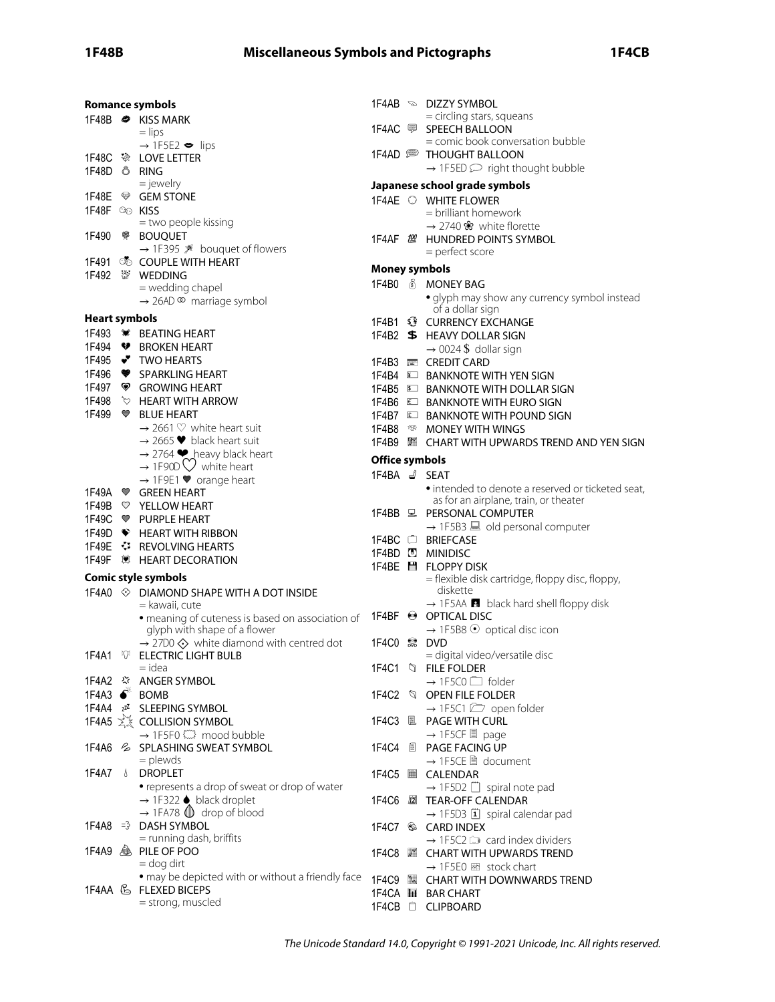|                           | <b>Romance symbols</b>                                                           |                       | 1F4AB <sup>®</sup> DIZZY SYMBOL                                  |
|---------------------------|----------------------------------------------------------------------------------|-----------------------|------------------------------------------------------------------|
|                           | 1F48B <sup>→</sup> KISS MARK                                                     |                       | = circling stars, squeans                                        |
|                           | $=$ lips                                                                         |                       | 1F4AC <sup>D</sup> SPEECH BALLOON                                |
|                           | $\rightarrow$ 1F5E2 $\bullet$ lips                                               |                       | = comic book conversation bubble                                 |
|                           | 1F48C <> LOVE LETTER                                                             |                       | 1F4AD <b>DE THOUGHT BALLOON</b>                                  |
| 1F48D Ö RING              |                                                                                  |                       | $\rightarrow$ 1F5ED $\supseteq$ right thought bubble             |
|                           | $=$ jewelry                                                                      |                       | Japanese school grade symbols                                    |
|                           | 1F48E <sup>®</sup> GEM STONE                                                     |                       | 1F4AE O WHITE FLOWER                                             |
| 1F48F $\circledcirc$ KISS |                                                                                  |                       | $=$ brilliant homework                                           |
|                           | = two people kissing                                                             |                       | $\rightarrow$ 2740 $\&$ white florette                           |
| 1F490                     | <b>®</b> BOUQUET                                                                 |                       | 1F4AF $\mathbb{Z}$ HUNDRED POINTS SYMBOL                         |
|                           | → 1F395 ※ bouquet of flowers                                                     |                       | = perfect score                                                  |
|                           | 1F491 <b>S</b> COUPLE WITH HEART                                                 | <b>Money symbols</b>  |                                                                  |
|                           |                                                                                  |                       | 1F4B0 6 MONEY BAG                                                |
|                           | = wedding chapel                                                                 |                       |                                                                  |
|                           | $\rightarrow$ 26AD $\infty$ marriage symbol                                      |                       | · glyph may show any currency symbol instead<br>of a dollar sign |
| <b>Heart symbols</b>      |                                                                                  |                       | 1F4B1 $\hat{S}$ CURRENCY EXCHANGE                                |
|                           | 1F493 W BEATING HEART                                                            |                       | 1F4B2 \$ HEAVY DOLLAR SIGN                                       |
|                           | 1F494 ♥ BROKEN HEART                                                             |                       | $\rightarrow$ 0024 \$ dollar sign                                |
|                           | 1F495 → TWO HEARTS                                                               |                       | 1F4B3 E CREDIT CARD                                              |
|                           | 1F496 <sup>9</sup> SPARKLING HEART                                               |                       | 1F4B4 E BANKNOTE WITH YEN SIGN                                   |
|                           | 1F497 <sup>♥</sup> GROWING HEART                                                 |                       | 1F4B5 E BANKNOTE WITH DOLLAR SIGN                                |
| 1F498                     | <b>EXAMPLE THE ARROW</b>                                                         |                       | 1F4B6 E BANKNOTE WITH EURO SIGN                                  |
| 1F499 ♥                   | <b>BLUE HEART</b>                                                                |                       | 1F4B7 E BANKNOTE WITH POUND SIGN                                 |
|                           | $\rightarrow$ 2661 $\heartsuit$ white heart suit                                 | 1F4B8                 | <sup><sup>199</sup> MONEY WITH WINGS</sup>                       |
|                           | $\rightarrow$ 2665 $\blacktriangleright$ black heart suit                        |                       | 1F4B9 图 CHART WITH UPWARDS TREND AND YEN SIGN                    |
|                           |                                                                                  |                       |                                                                  |
|                           | → 2764 $\blacktriangleright$ heavy black heart<br>→ 1F90D $\bigcirc$ white heart | <b>Office symbols</b> |                                                                  |
|                           | $\rightarrow$ 1F9E1 $\blacktriangledown$ orange heart                            | 1F4BA d/ SEAT         |                                                                  |
|                           | 1F49A ♥ GREEN HEART                                                              |                       | • intended to denote a reserved or ticketed seat,                |
|                           | 1F49B <sup>V</sup> YELLOW HEART                                                  |                       | as for an airplane, train, or theater                            |
|                           | 1F49C <sup>●</sup> PURPLE HEART                                                  |                       | 1F4BB <sub>모</sub> PERSONAL COMPUTER                             |
|                           | 1F49D F HEART WITH RIBBON                                                        |                       | $\rightarrow$ 1F5B3 $\blacksquare$ old personal computer         |
|                           | 1F49E $\cdot$ REVOLVING HEARTS                                                   |                       | 1F4BC C BRIEFCASE                                                |
|                           | 1F49F 3 HEART DECORATION                                                         |                       | 1F4BD <b>D</b> MINIDISC                                          |
|                           | <b>Comic style symbols</b>                                                       |                       | 1F4BE H FLOPPY DISK                                              |
|                           | 1F4A0 ♦ DIAMOND SHAPE WITH A DOT INSIDE                                          |                       | = flexible disk cartridge, floppy disc, floppy,<br>diskette      |
|                           | = kawaii, cute                                                                   |                       | $\rightarrow$ 1F5AA $\blacksquare$ black hard shell floppy disk  |
|                           | • meaning of cuteness is based on association of                                 |                       | 1F4BF <sup>●</sup> OPTICAL DISC                                  |
|                           | glyph with shape of a flower                                                     |                       | $\rightarrow$ 1F5B8 $\odot$ optical disc icon                    |
|                           | $\rightarrow$ 27D0 $\diamondsuit$ white diamond with centred dot                 | 1F4C0 2 DVD           |                                                                  |
| 1F4A1                     | <b><i>FOF</i></b> ELECTRIC LIGHT BULB                                            |                       | = digital video/versatile disc                                   |
|                           | $=$ idea                                                                         |                       | 1F4C1 Q FILE FOLDER                                              |
|                           | 1F4A2 $\Im$ ANGER SYMBOL                                                         |                       | $\rightarrow$ 1F5C0 $\Box$ folder                                |
| 1F4A3                     | <b>BOMB</b>                                                                      |                       | 1F4C2 \ OPEN FILE FOLDER                                         |
|                           | 1F4A4 zz <sup>z</sup> SLEEPING SYMBOL                                            |                       | $\rightarrow$ 1F5C1 $\boxed{2}$ open folder                      |
|                           | 1F4A5 x COLLISION SYMBOL                                                         |                       | 1F4C3 L PAGE WITH CURL                                           |
|                           | → 1F5F0 < mood bubble                                                            |                       | $\rightarrow$ 1F5CF $\blacksquare$ page                          |
|                           | 1F4A6 & SPLASHING SWEAT SYMBOL                                                   | 1F4C4                 | ■ PAGE FACING UP                                                 |
|                           | $=$ plewds                                                                       |                       | → 1F5CE ■ document                                               |
| 1F4A7                     | <b>S</b> DROPLET                                                                 |                       | 1F4C5 CALENDAR                                                   |
|                           | • represents a drop of sweat or drop of water                                    |                       | $\rightarrow$ 1F5D2 [ spiral note pad                            |
|                           | $\rightarrow$ 1F322 $\bullet$ black droplet                                      |                       |                                                                  |
|                           | $\rightarrow$ 1FA78 $\circled{1}$ drop of blood                                  |                       | → 1F5D3 1 spiral calendar pad                                    |
| 1F4A8                     | $\Rightarrow$ DASH SYMBOL                                                        |                       | 1F4C7 S CARD INDEX                                               |
|                           | = running dash, briffits                                                         |                       | $\rightarrow$ 1F5C2 $\mathbb{C}$ card index dividers             |
|                           | 1F4A9 & PILE OF POO                                                              |                       | 1F4C8 ■ CHART WITH UPWARDS TREND                                 |
|                           | $=$ dog dirt                                                                     |                       | $\rightarrow$ 1F5E0 $\boxtimes$ stock chart                      |
|                           | · may be depicted with or without a friendly face                                |                       | 1F4C9 <b>WE CHART WITH DOWNWARDS TREND</b>                       |
|                           | 1F4AA & FLEXED BICEPS                                                            |                       | 1F4CA <b>LE</b> BAR CHART                                        |
|                           | = strong, muscled                                                                |                       | 1F4CB <sup><math>\hat{\Box}</math></sup> CLIPBOARD               |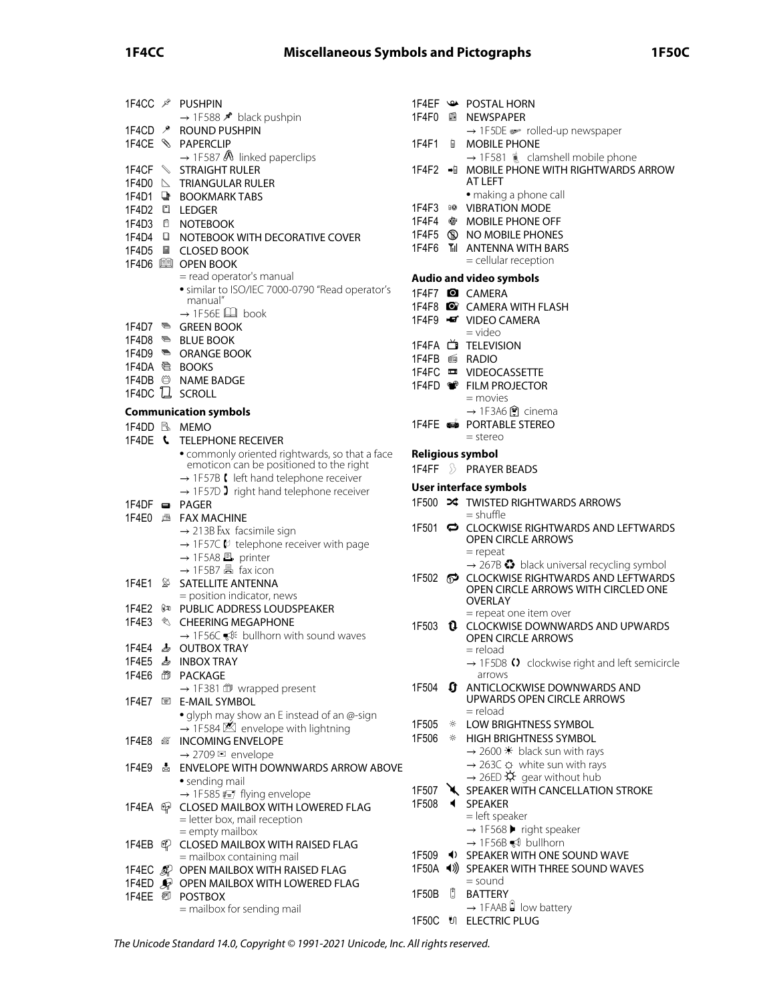# **1F4CC Miscellaneous Symbols and Pictographs 1F50C**

|                      |                                | 1F4CC ® PUSHPIN<br>→ 1F588 * black pushpin                                                     | 1F<br>1F |
|----------------------|--------------------------------|------------------------------------------------------------------------------------------------|----------|
| 1F4CD<br>1F4CE       | $\mathcal{P}$<br>$\mathscr{S}$ | ROUND PUSHPIN<br><b>PAPERCLIP</b>                                                              | 1F       |
|                      |                                | $\rightarrow$ 1F587 $\&$ linked paperclips                                                     |          |
| 1F4CF<br>1F4D0       | $\triangleright$               | <b>STRAIGHT RULER</b><br><b>TRIANGULAR RULER</b>                                               | 1F       |
| 1F4D1<br>1F4D2       | <br>O                          | <b>BOOKMARK TABS</b><br><b>LEDGER</b>                                                          | 1F       |
| 1F4D3                | Ó                              | <b>NOTEBOOK</b>                                                                                | 1F       |
| 1F4D4                | o                              | NOTEBOOK WITH DECORATIVE COVER                                                                 | 1F<br>1F |
| 1F4D5                | 国                              | <b>CLOSED BOOK</b><br>1F4D6 图 OPEN BOOK                                                        |          |
|                      |                                | = read operator's manual                                                                       | Αu       |
|                      |                                | · similar to ISO/IEC 7000-0790 "Read operator's<br>manual"                                     | 1F       |
|                      |                                | $\rightarrow$ 1F56E $\Box$ book                                                                | 1F<br>1F |
| 1F4D8                | $\epsilon$                     | <b>GREEN BOOK</b><br><b>BLUE BOOK</b>                                                          |          |
| 1F4D9                | $\bullet$                      | <b>ORANGE BOOK</b>                                                                             | 1F       |
|                      |                                | 1F4DA 《 BOOKS                                                                                  | 1F<br>1F |
| 1F4DB (3)<br>1F4DC 口 |                                | <b>NAME BADGE</b><br><b>SCROLL</b>                                                             | 1F       |
|                      |                                | <b>Communication symbols</b>                                                                   |          |
| 1F4DD $\mathbb{R}$   |                                | <b>MEMO</b>                                                                                    | 1F       |
| 1F4DE                | $\mathcal{L}$                  | <b>TELEPHONE RECEIVER</b>                                                                      |          |
|                      |                                | · commonly oriented rightwards, so that a face<br>emoticon can be positioned to the right      | Re       |
|                      |                                | $\rightarrow$ 1F57B ( left hand telephone receiver                                             | 1F       |
| 1F4DF                | and .                          | $\rightarrow$ 1F57D ) right hand telephone receiver<br><b>PAGER</b>                            | Us<br>1F |
| 1F4E0                | 画                              | <b>FAX MACHINE</b>                                                                             |          |
|                      |                                | $\rightarrow$ 213B FAx facsimile sign                                                          | 1F       |
|                      |                                | $\rightarrow$ 1F57C $\mathfrak{t}^{\prime}$ telephone receiver with page<br>→ 1F5A8 且 printer  |          |
|                      |                                | $\rightarrow$ 1F5B7 圖 fax icon                                                                 | 1F       |
| 1F4E1                | ں⊠                             | <b>SATELLITE ANTENNA</b><br>= position indicator, news                                         |          |
| 1F4E2                |                                | @20 PUBLIC ADDRESS LOUDSPEAKER                                                                 |          |
| 1F4E3                | $\mathbb{Z}^N$                 | <b>CHEERING MEGAPHONE</b>                                                                      | 1F       |
| 1F4E4                | $\mathbf{r}$                   | <b>OUTBOX TRAY</b>                                                                             |          |
| 1F4E5                |                                | $\omega$ INBOX TRAY                                                                            |          |
| 1F4E6                | ÕĨ                             | PACKAGE<br>→ 1F381 fill wrapped present                                                        | 1F       |
| 1F4E7                | o.                             | <b>E-MAIL SYMBOL</b>                                                                           |          |
|                      |                                | · glyph may show an E instead of an @-sign                                                     | 1F       |
| 1F4E8                |                                | $\rightarrow$ 1F584 $\overline{\otimes}$ envelope with lightning<br><b>■ INCOMING ENVELOPE</b> | 1F       |
|                      |                                | $\rightarrow$ 2709 $\approx$ envelope                                                          |          |
| 1F4E9                | ☆                              | ENVELOPE WITH DOWNWARDS ARROW ABOVE                                                            |          |
|                      |                                | • sending mail<br>→ 1F585 ₹₹7 flying envelope                                                  | 1F       |
| 1F4EA ଢ଼େ            |                                | CLOSED MAILBOX WITH LOWERED FLAG                                                               | 1F       |
|                      |                                | = letter box, mail reception<br>= empty mailbox                                                |          |
| 1F4EB                | ⊕                              | CLOSED MAILBOX WITH RAISED FLAG                                                                |          |
|                      |                                | = mailbox containing mail<br>1F4EC & OPEN MAILBOX WITH RAISED FLAG                             | 1F<br>1F |
|                      |                                | 1F4ED <b>A</b> OPEN MAILBOX WITH LOWERED FLAG                                                  |          |
|                      |                                | 1F4EE <i>1</i> POSTBOX                                                                         | 1F       |
|                      |                                | = mailbox for sending mail                                                                     |          |

|                                  |                        | 1F4EF ↔ POSTAL HORN<br>1F4F0 ■ NEWSPAPER                                                                                                                       |
|----------------------------------|------------------------|----------------------------------------------------------------------------------------------------------------------------------------------------------------|
| 1F4F1                            | 自                      | → 1F5DE · rolled-up newspaper<br><b>MOBILE PHONE</b>                                                                                                           |
| 1F4F2 <del>→</del> a             |                        | → 1F581 id clamshell mobile phone<br>MOBILE PHONE WITH RIGHTWARDS ARROW<br><b>AT LEFT</b>                                                                      |
| 1F4F3<br>1F4F4<br>1F4F5<br>1F4F6 | 90<br>¢                | • making a phone call<br><b>VIBRATION MODE</b><br><b>MOBILE PHONE OFF</b><br><b>S</b> NO MOBILE PHONES<br><b>Til ANTENNA WITH BARS</b><br>= cellular reception |
|                                  |                        | Audio and video symbols                                                                                                                                        |
|                                  |                        | 1F4F7 <b>O</b> CAMERA                                                                                                                                          |
|                                  |                        | 1F4F8 <sup>o</sup> CAMERA WITH FLASH                                                                                                                           |
|                                  |                        | 1F4F9 Her VIDEO CAMERA                                                                                                                                         |
|                                  |                        | = video<br>1F4FA 〇 TELEVISION                                                                                                                                  |
|                                  |                        | 1F4FB <del>o</del> RADIO                                                                                                                                       |
|                                  |                        | 1F4FC = VIDEOCASSETTE                                                                                                                                          |
|                                  |                        | 1F4FD W FILM PROJECTOR                                                                                                                                         |
|                                  |                        | = movies<br>→ 1F3A6 ? cinema                                                                                                                                   |
|                                  |                        | 1F4FE <b>@</b> PORTABLE STEREO                                                                                                                                 |
|                                  |                        | $=$ stereo                                                                                                                                                     |
|                                  |                        | <b>Religious symbol</b>                                                                                                                                        |
|                                  |                        | 1F4FF >> PRAYER BEADS                                                                                                                                          |
|                                  |                        | User interface symbols                                                                                                                                         |
|                                  |                        | 1F500 X TWISTED RIGHTWARDS ARROWS<br>$=$ shuffle                                                                                                               |
| 1F501                            | ¢.                     | <b>CLOCKWISE RIGHTWARDS AND LEFTWARDS</b><br><b>OPEN CIRCLE ARROWS</b>                                                                                         |
|                                  |                        | $=$ repeat<br>$\rightarrow$ 267B $\bullet$ black universal recycling symbol                                                                                    |
| 1F502 <i>ල</i> ට                 |                        | <b>CLOCKWISE RIGHTWARDS AND LEFTWARDS</b><br>OPEN CIRCLE ARROWS WITH CIRCLED ONE                                                                               |
|                                  |                        | <b>OVERLAY</b>                                                                                                                                                 |
|                                  |                        | = repeat one item over                                                                                                                                         |
|                                  |                        | 1F503 <b>Q</b> CLOCKWISE DOWNWARDS AND UPWARDS<br><b>OPEN CIRCLE ARROWS</b><br>= reload                                                                        |
|                                  |                        | → 1F5D8 0 clockwise right and left semicircle                                                                                                                  |
|                                  |                        | arrows                                                                                                                                                         |
| 1F504                            | Û.                     | ANTICLOCKWISE DOWNWARDS AND<br><b>UPWARDS OPEN CIRCLE ARROWS</b>                                                                                               |
| 1F505                            | $\rm O$                | $=$ reload<br>LOW BRIGHTNESS SYMBOL                                                                                                                            |
| 1F506                            | $\phi$                 | <b>HIGH BRIGHTNESS SYMBOL</b>                                                                                                                                  |
|                                  |                        | $\rightarrow$ 2600 $*$ black sun with rays                                                                                                                     |
|                                  |                        | $\rightarrow$ 263C $\circ$ white sun with rays                                                                                                                 |
| 1F507                            |                        | → 26ED $\hat{\mathsf{X}}$ gear without hub<br>SPEAKER WITH CANCELLATION STROKE                                                                                 |
| 1F508                            |                        | <b>SPEAKER</b>                                                                                                                                                 |
|                                  |                        | = left speaker                                                                                                                                                 |
|                                  |                        |                                                                                                                                                                |
|                                  |                        | $\rightarrow$ 1F568 $\blacktriangleright$ right speaker                                                                                                        |
|                                  |                        | → 1F56B < bullhorn                                                                                                                                             |
| 1F509<br>1F50A                   | $\blacklozenge$<br>◀)) | SPEAKER WITH ONE SOUND WAVE<br>SPEAKER WITH THREE SOUND WAVES                                                                                                  |
|                                  |                        | = sound                                                                                                                                                        |
| 1F50B                            | Ū                      | <b>BATTERY</b>                                                                                                                                                 |
| 1F50C                            | ∪∪                     | $\rightarrow$ 1FAAB $\Box$ low battery<br><b>ELECTRIC PLUG</b>                                                                                                 |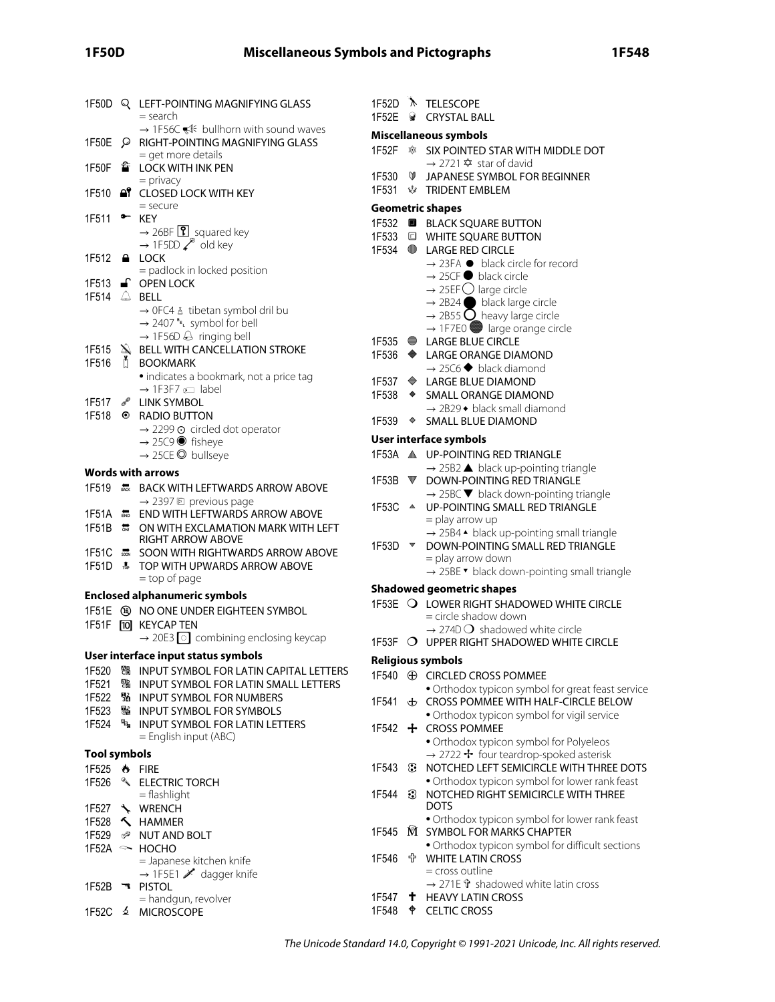| 1F50D               |               | Q LEFT-POINTING MAGNIFYING GLASS<br>= search                                     | 1F52D<br>1F52E | ◒                       | TELESCOPE<br><b>CRYSTAL BALL</b>                                              |
|---------------------|---------------|----------------------------------------------------------------------------------|----------------|-------------------------|-------------------------------------------------------------------------------|
|                     |               | $\rightarrow$ 1F56C $\ll$ bullhorn with sound waves                              |                |                         | Miscellaneous symbols                                                         |
| 1F50E               |               | P RIGHT-POINTING MAGNIFYING GLASS                                                | 1F52F          |                         | <b>SIX POINTED STAR WI</b>                                                    |
| 1F50F               |               | = get more details<br>f LOCK WITH INK PEN                                        |                |                         | → 2721 � star of davi                                                         |
|                     |               | $=$ privacy                                                                      | 1F530          | $\circ$                 | JAPANESE SYMBOL F                                                             |
| 1F510               |               | <b>AT CLOSED LOCK WITH KEY</b>                                                   | 1F531          |                         | <b><i>W</i></b> TRIDENT EMBLEM                                                |
|                     |               | $=$ secure                                                                       |                |                         | <b>Geometric shapes</b>                                                       |
| 1F511               | $\bullet$     | <b>KEY</b>                                                                       |                |                         | 1F532 <b>B</b> BLACK SQUARE BUTT                                              |
|                     |               | $\rightarrow$ 26BF $\boxed{?}$ squared key                                       |                |                         | 1F533 C WHITE SQUARE BUTT                                                     |
|                     |               | $\rightarrow$ 1F5DD $\swarrow^8$ old key                                         | 1F534          | $\bigcirc$              | <b>LARGE RED CIRCLE</b>                                                       |
| 1F512               |               | $A$ LOCK                                                                         |                |                         | $\rightarrow$ 23FA $\bullet$ black circle                                     |
|                     |               | = padlock in locked position                                                     |                |                         | $\rightarrow$ 25CF black circle                                               |
|                     |               | 1F513 <b>a</b> OPEN LOCK<br>1F514 $\triangle$ BELL                               |                |                         | $\rightarrow$ 25EF $\bigcirc$ large circle                                    |
|                     |               | → OFC4 & tibetan symbol dril bu                                                  |                |                         | $\rightarrow$ 2B24 black large                                                |
|                     |               | $\rightarrow$ 2407 <sup><sup>B</sup>EL</sup> symbol for bell                     |                |                         | $\rightarrow$ 2B55 $\bigcirc$ heavy larg                                      |
|                     |               | $\rightarrow$ 1F56D $\ominus$ ringing bell                                       |                |                         | $\rightarrow$ 1F7E0 large ora                                                 |
| 1F515               |               | $\triangle$ BELL WITH CANCELLATION STROKE                                        | 1F536          |                         | 1F535 ● LARGE BLUE CIRCLE                                                     |
| 1F516               | $\mathbb{L}$  | <b>BOOKMARK</b>                                                                  |                |                         | LARGE ORANGE DIAM<br>$\rightarrow$ 25C6 $\blacklozenge$ black diam            |
|                     |               | · indicates a bookmark, not a price tag                                          | 1F537          |                         | $\triangleq$ LARGE BLUE DIAMON                                                |
|                     |               | $\rightarrow$ 1F3F7 $\text{cm}$ label                                            | 1F538          | ۰                       | <b>SMALL ORANGE DIAN</b>                                                      |
| 1F517               | <b>J</b>      | <b>LINK SYMBOL</b>                                                               |                |                         | → 2B29 • black small o                                                        |
| 1F518               | $\bullet$     | <b>RADIO BUTTON</b>                                                              | 1F539          | ♦                       | <b>SMALL BLUE DIAMON</b>                                                      |
|                     |               | $\rightarrow$ 2299 $\odot$ circled dot operator                                  |                |                         |                                                                               |
|                     |               | $\rightarrow$ 25C9 $\bullet$ fisheye                                             |                |                         | User interface symbols                                                        |
|                     |               | → 25CE © bullseye                                                                |                |                         | 1F53A A UP-POINTING RED TRI<br>$\rightarrow$ 25B2 $\blacktriangle$ black up-p |
|                     |               | <b>Words with arrows</b>                                                         | 1F53B          |                         | ▼ DOWN-POINTING RED                                                           |
| 1F519               |               | <b>ARKING BACK WITH LEFTWARDS ARROW ABOVE</b>                                    |                |                         | $\rightarrow$ 25BC $\blacktriangledown$ black down                            |
|                     |               | → 2397 回 previous page                                                           | 1F53C          | $\triangle$             | <b>UP-POINTING SMALL</b>                                                      |
| 1F51A               | END           | <b>END WITH LEFTWARDS ARROW ABOVE</b>                                            |                |                         | = play arrow up                                                               |
| 1F51B               | $\frac{1}{2}$ | ON WITH EXCLAMATION MARK WITH LEFT                                               |                |                         |                                                                               |
|                     |               |                                                                                  |                |                         | → 25B4 • black up-po                                                          |
|                     |               | <b>RIGHT ARROW ABOVE</b>                                                         | 1F53D          | $\overline{\mathbf{v}}$ | DOWN-POINTING SM.                                                             |
|                     |               | 1F51C <b>MEDICI COON WITH RIGHTWARDS ARROW ABOVE</b>                             |                |                         | = play arrow down                                                             |
| 1F51D + + 5         |               | TOP WITH UPWARDS ARROW ABOVE                                                     |                |                         | → 25BE ▼ black down-                                                          |
|                     |               | = top of page                                                                    |                |                         | <b>Shadowed geometric shapes</b>                                              |
|                     |               | <b>Enclosed alphanumeric symbols</b>                                             |                |                         | 1F53E O LOWER RIGHT SHADO                                                     |
|                     |               | 1F51E ® NO ONE UNDER EIGHTEEN SYMBOL                                             |                |                         | $=$ circle shadow down                                                        |
|                     |               | 1F51F [10] KEYCAP TEN                                                            |                |                         | $\rightarrow$ 274D $\bigcirc$ shadowed                                        |
|                     |               | $\rightarrow$ 20E3 $\boxed{\circ}$ combining enclosing keycap                    |                |                         | 1F53F O UPPER RIGHT SHADO                                                     |
|                     |               | User interface input status symbols                                              |                |                         | <b>Religious symbols</b>                                                      |
| 1F520               |               | % INPUT SYMBOL FOR LATIN CAPITAL LETTERS                                         |                |                         | 1F540 $\oplus$ CIRCLED CROSS POM                                              |
| 1F521               |               | % INPUT SYMBOL FOR LATIN SMALL LETTERS                                           |                |                         | • Orthodox typicon syr                                                        |
| 1F522               |               | <b>WE INPUT SYMBOL FOR NUMBERS</b>                                               | 1F541          |                         | <b>₺</b> CROSS POMMEE WITH                                                    |
| 1F523<br>1F524      |               | <b>图 INPUT SYMBOL FOR SYMBOLS</b><br><sup>4</sup> INPUT SYMBOL FOR LATIN LETTERS |                |                         | · Orthodox typicon syr                                                        |
|                     |               | $=$ English input (ABC)                                                          |                |                         | 1F542 $+$ CROSS POMMEE                                                        |
|                     |               |                                                                                  |                |                         | · Orthodox typicon syr                                                        |
| <b>Tool symbols</b> |               |                                                                                  | 1F543          | ⊛                       | $\rightarrow$ 2722 + four teardr                                              |
|                     |               | 1F525 + FIRE                                                                     |                |                         | NOTCHED LEFT SEMIO                                                            |
| 1F526               |               | <b>&amp; ELECTRIC TORCH</b><br>$=$ flashlight                                    | 1F544          | 3                       | • Orthodox typicon syr<br>NOTCHED RIGHT SEM                                   |
|                     |               | 1F527 \ WRENCH                                                                   |                |                         | <b>DOTS</b>                                                                   |
|                     |               | 1F528 <b>K</b> HAMMER                                                            |                |                         | • Orthodox typicon syr                                                        |
| 1F529               |               | i <sup>®</sup> NUT AND BOLT                                                      | 1F545          |                         | M SYMBOL FOR MARKS                                                            |
|                     |               | $1F52A \sim HOCHO$                                                               |                |                         | · Orthodox typicon syr                                                        |
|                     |               | = Japanese kitchen knife                                                         | 1F546          | 유.                      | <b>WHITE LATIN CROSS</b>                                                      |
|                     |               | → 1F5E1 X dagger knife                                                           |                |                         | $=$ cross outline                                                             |
| 1F52B               |               | <b>T</b> PISTOL                                                                  |                |                         | → 271E t shadowed                                                             |
| 1F52C               |               | = handgun, revolver<br>≰ MICROSCOPE                                              | 1F547<br>1F548 | ᡨ                       | <b>T</b> HEAVY LATIN CROSS<br><b>CELTIC CROSS</b>                             |

| 1F52E                        |                                          | <b>W</b> CRYSTAL BALL                                                                               |  |  |  |  |  |
|------------------------------|------------------------------------------|-----------------------------------------------------------------------------------------------------|--|--|--|--|--|
| <b>Miscellaneous symbols</b> |                                          |                                                                                                     |  |  |  |  |  |
| 1F52F                        |                                          | <b>SIX POINTED STAR WITH MIDDLE DOT</b><br>$\rightarrow$ 2721 $\hat{\mathbf{\times}}$ star of david |  |  |  |  |  |
| 1F530<br>1F531               | V<br>rie.                                | JAPANESE SYMBOL FOR BEGINNER<br><b>TRIDENT EMBLEM</b>                                               |  |  |  |  |  |
|                              |                                          | <b>Geometric shapes</b>                                                                             |  |  |  |  |  |
| 1F532                        | 0                                        | <b>BLACK SQUARE BUTTON</b>                                                                          |  |  |  |  |  |
| 1F533                        |                                          | <b>E WHITE SQUARE BUTTON</b>                                                                        |  |  |  |  |  |
| 1F534                        |                                          | <b>LARGE RED CIRCLE</b>                                                                             |  |  |  |  |  |
|                              |                                          | → 23FA ● black circle for record                                                                    |  |  |  |  |  |
|                              |                                          | $\rightarrow$ 25CF $\bullet$ black circle                                                           |  |  |  |  |  |
|                              |                                          | $\rightarrow$ 25EF $\bigcirc$ large circle                                                          |  |  |  |  |  |
|                              |                                          | $\rightarrow$ 2B24 black large circle                                                               |  |  |  |  |  |
|                              |                                          | $\rightarrow$ 2B55 $\bigcirc$ heavy large circle<br>$\rightarrow$ 1F7E0 large orange circle         |  |  |  |  |  |
|                              |                                          | 1F535 ● LARGE BLUE CIRCLE                                                                           |  |  |  |  |  |
| 1F536                        |                                          | ♦ LARGE ORANGE DIAMOND                                                                              |  |  |  |  |  |
|                              |                                          | $\rightarrow$ 25C6 $\blacklozenge$ black diamond                                                    |  |  |  |  |  |
| 1F537                        |                                          | $\triangleq$ LARGE BLUE DIAMOND                                                                     |  |  |  |  |  |
| 1F538                        | $\bullet$                                | <b>SMALL ORANGE DIAMOND</b>                                                                         |  |  |  |  |  |
|                              |                                          | $\rightarrow$ 2B29 $\bullet$ black small diamond                                                    |  |  |  |  |  |
| 1F539                        | ♦                                        | <b>SMALL BLUE DIAMOND</b>                                                                           |  |  |  |  |  |
|                              |                                          | User interface symbols                                                                              |  |  |  |  |  |
|                              |                                          | 1F53A A UP-POINTING RED TRIANGLE                                                                    |  |  |  |  |  |
|                              |                                          | $\rightarrow$ 25B2 $\blacktriangle$ black up-pointing triangle<br>DOWN-POINTING RED TRIANGLE        |  |  |  |  |  |
| 1F53B                        | $\color{red}~\color{blue}~\color{black}$ | $\rightarrow$ 25BC $\blacktriangledown$ black down-pointing triangle                                |  |  |  |  |  |
| 1F53C                        | $\triangle$                              | UP-POINTING SMALL RED TRIANGLE                                                                      |  |  |  |  |  |
|                              |                                          | = play arrow up                                                                                     |  |  |  |  |  |
|                              |                                          | → 25B4 • black up-pointing small triangle                                                           |  |  |  |  |  |
| 1F53D                        | $\overline{\mathbf{v}}$                  | DOWN-POINTING SMALL RED TRIANGLE                                                                    |  |  |  |  |  |
|                              |                                          | = play arrow down                                                                                   |  |  |  |  |  |
|                              |                                          | → 25BE • black down-pointing small triangle                                                         |  |  |  |  |  |
|                              |                                          | <b>Shadowed geometric shapes</b>                                                                    |  |  |  |  |  |
|                              |                                          | 1F53E O LOWER RIGHT SHADOWED WHITE CIRCLE<br>= circle shadow down                                   |  |  |  |  |  |
|                              |                                          | $\rightarrow$ 274D $\bigcirc$ shadowed white circle                                                 |  |  |  |  |  |
|                              |                                          | 1F53F O UPPER RIGHT SHADOWED WHITE CIRCLE                                                           |  |  |  |  |  |
|                              |                                          | <b>Religious symbols</b>                                                                            |  |  |  |  |  |
|                              |                                          | 1F540 <b>+ CIRCLED CROSS POMMEE</b>                                                                 |  |  |  |  |  |
|                              |                                          | · Orthodox typicon symbol for great feast service                                                   |  |  |  |  |  |
| 1F541                        | ⊕                                        | CROSS POMMEE WITH HALF-CIRCLE BELOW                                                                 |  |  |  |  |  |
|                              |                                          | · Orthodox typicon symbol for vigil service                                                         |  |  |  |  |  |
| 1F542                        | ÷.                                       | <b>CROSS POMMEE</b>                                                                                 |  |  |  |  |  |
|                              |                                          | · Orthodox typicon symbol for Polyeleos                                                             |  |  |  |  |  |
| 1F543                        |                                          | → 2722 + four teardrop-spoked asterisk<br>NOTCHED LEFT SEMICIRCLE WITH THREE DOTS                   |  |  |  |  |  |
|                              | ⊛                                        | · Orthodox typicon symbol for lower rank feast                                                      |  |  |  |  |  |
| 1F544                        | €                                        | NOTCHED RIGHT SEMICIRCLE WITH THREE                                                                 |  |  |  |  |  |
|                              |                                          | <b>DOTS</b>                                                                                         |  |  |  |  |  |
|                              |                                          | · Orthodox typicon symbol for lower rank feast                                                      |  |  |  |  |  |
| 1F545                        | Ŵ                                        | <b>SYMBOL FOR MARKS CHAPTER</b>                                                                     |  |  |  |  |  |
| 1F546                        | 유.                                       | · Orthodox typicon symbol for difficult sections<br><b>WHITE LATIN CROSS</b>                        |  |  |  |  |  |
|                              |                                          | = cross outline                                                                                     |  |  |  |  |  |
|                              |                                          | → 271E $\hat{\mathbf{r}}$ shadowed white latin cross                                                |  |  |  |  |  |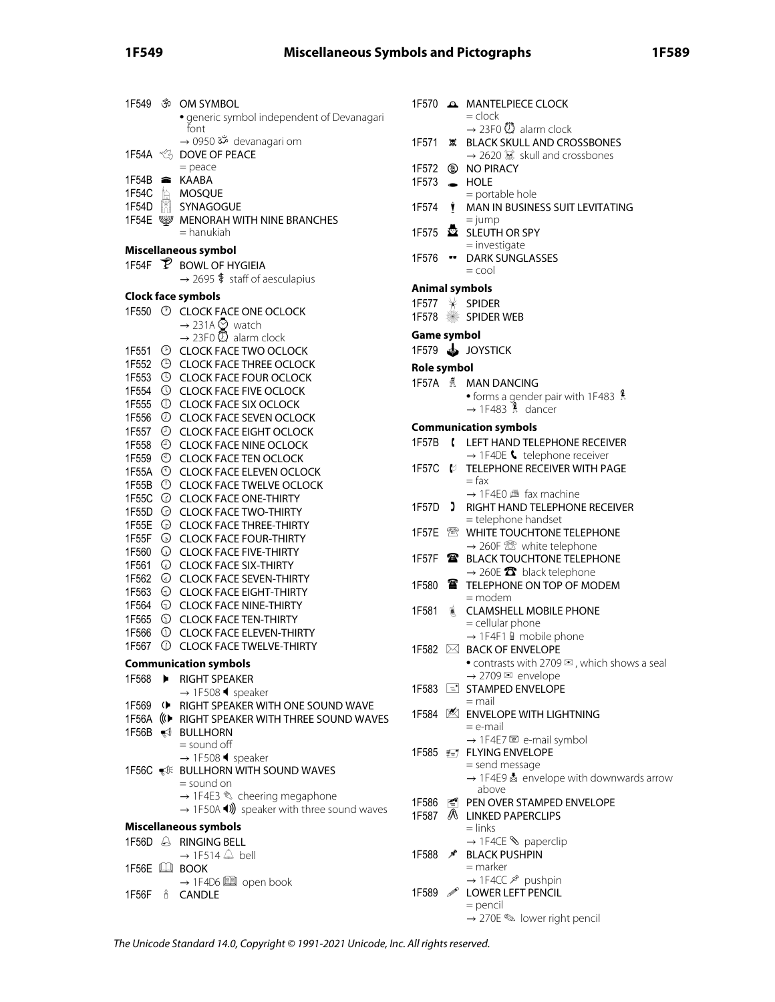# **1F549 Miscellaneous Symbols and Pictographs 1F589**

| 1F549          | ŠŌ                                          | OM SYMBOL<br>generic symbol independent of Devanagari<br>font                          |
|----------------|---------------------------------------------|----------------------------------------------------------------------------------------|
|                |                                             | → 0950 ॐ devanagari om<br>DOVE OF PEACE<br>$=$ peace                                   |
| 1F54B          | 2                                           | <b>KAABA</b>                                                                           |
| 1F54C          |                                             | <b>E</b> MOSQUE                                                                        |
| 1F54D          | $\begin{bmatrix} 0 \\ 0 \\ 1 \end{bmatrix}$ | SYNAGOGUE                                                                              |
| 1F54E          |                                             | <b>WENORAH WITH NINE BRANCHES</b><br>= hanukiah                                        |
|                |                                             | Miscellaneous symbol                                                                   |
|                |                                             | 1F54F P BOWL OF HYGIEIA<br>$\rightarrow$ 2695 $\frac{4}{3}$ staff of aesculapius       |
|                |                                             | <b>Clock face symbols</b>                                                              |
|                |                                             | 1F550 <sup>(2)</sup> CLOCK FACE ONE OCLOCK<br>$\rightarrow$ 231A $\odot$ watch         |
|                |                                             | $\rightarrow$ 23F0 $\circledD$ alarm clock                                             |
| 1F551          | O                                           | <b>CLOCK FACE TWO OCLOCK</b>                                                           |
| 1F552          | $\bigcirc$                                  | <b>CLOCK FACE THREE OCLOCK</b>                                                         |
| 1F553          | $\circledS$                                 | <b>CLOCK FACE FOUR OCLOCK</b>                                                          |
| 1F554          | $\circledcirc$                              | <b>CLOCK FACE FIVE OCLOCK</b>                                                          |
| 1F555          | $\mathbb O$                                 | <b>CLOCK FACE SIX OCLOCK</b>                                                           |
| 1F556          | $\circledcirc$                              | <b>CLOCK FACE SEVEN OCLOCK</b>                                                         |
| 1F557          | $_{\odot}$                                  | <b>CLOCK FACE EIGHT OCLOCK</b>                                                         |
| 1F558          | $\bigodot$                                  | <b>CLOCK FACE NINE OCLOCK</b>                                                          |
| 1F559          | $\odot$                                     | <b>CLOCK FACE TEN OCLOCK</b>                                                           |
| 1F55A          | $\circledcirc$                              | <b>CLOCK FACE ELEVEN OCLOCK</b>                                                        |
| 1F55B          | $\circledcirc$                              | <b>CLOCK FACE TWELVE OCLOCK</b>                                                        |
| 1F55C          | $\odot$                                     | <b>CLOCK FACE ONE-THIRTY</b>                                                           |
| 1F55D          | $_{\bigodot}$                               | <b>CLOCK FACE TWO-THIRTY</b>                                                           |
| 1F55E<br>1F55F | $_{\odot}$<br>$_{\odot}$                    | <b>CLOCK FACE THREE-THIRTY</b><br><b>CLOCK FACE FOUR-THIRTY</b>                        |
| 1F560          | $\mathbb O$                                 | <b>CLOCK FACE FIVE-THIRTY</b>                                                          |
| 1F561          | $_{\odot}$                                  | <b>CLOCK FACE SIX-THIRTY</b>                                                           |
| 1F562          | ⊙                                           | <b>CLOCK FACE SEVEN-THIRTY</b>                                                         |
| 1F563          | ⊙                                           | <b>CLOCK FACE EIGHT-THIRTY</b>                                                         |
| 1F564          | $\odot$                                     | <b>CLOCK FACE NINE-THIRTY</b>                                                          |
| 1F565          | $\odot$                                     | <b>CLOCK FACE TEN-THIRTY</b>                                                           |
| 1F566          | $\odot$                                     | <b>CLOCK FACE ELEVEN-THIRTY</b>                                                        |
| 1F567          | $^\copyright$                               | <b>CLOCK FACE TWELVE-THIRTY</b>                                                        |
|                |                                             | <b>Communication symbols</b>                                                           |
|                |                                             | 1F568 ▶ RIGHT SPEAKER                                                                  |
|                |                                             | $\rightarrow$ 1F508 $\blacklozenge$ speaker                                            |
|                |                                             | 1F569 (C) RIGHT SPEAKER WITH ONE SOUND WAVE                                            |
| 1F56A          |                                             | ((€ RIGHT SPEAKER WITH THREE SOUND WAVES                                               |
| 1F56B          |                                             | ₹ BULLHORN                                                                             |
|                |                                             | = sound off                                                                            |
|                |                                             | $\rightarrow$ 1F508 $\blacklozenge$ speaker                                            |
|                |                                             | 1F56C WE BULLHORN WITH SOUND WAVES                                                     |
|                |                                             | = sound on                                                                             |
|                |                                             | → 1F4E3 & cheering megaphone<br>$\rightarrow$ 1F50A (1) speaker with three sound waves |
|                |                                             |                                                                                        |
|                |                                             | Miscellaneous symbols                                                                  |
|                |                                             | 1F56D A RINGING BELL                                                                   |
|                |                                             | $\rightarrow$ 1F514 $\triangle$ bell<br>1F56E LU BOOK                                  |
|                |                                             | → 1F4D6 2 open book                                                                    |
| 1F56F          |                                             | <sub>8</sub> CANDLE                                                                    |
|                |                                             |                                                                                        |

|                |              | 1F570 A MANTELPIECE CLOCK<br>$=$ clock                                                                                |
|----------------|--------------|-----------------------------------------------------------------------------------------------------------------------|
| 1F571          |              | $\rightarrow$ 23F0 $\overline{O}$ alarm clock<br><b>意 BLACK SKULL AND CROSSBONES</b><br>→ 2620 & skull and crossbones |
| 1F572<br>1F573 | $\bullet$    | <b>ID NO PIRACY</b><br><b>HOLE</b>                                                                                    |
| 1F574          | Ŷ.           | = portable hole<br>MAN IN BUSINESS SUIT LEVITATING<br>$=$ jump                                                        |
|                |              | 1F575 <b>EX</b> SLEUTH OR SPY<br>$=$ investigate                                                                      |
| 1F576 ••       |              | <b>DARK SUNGLASSES</b><br>$=$ cool                                                                                    |
| Animal symbols |              |                                                                                                                       |
|                |              | 1F577 * SPIDER                                                                                                        |
|                |              | 1F578 SPIDER WEB                                                                                                      |
| Game symbol    |              |                                                                                                                       |
|                |              | 1F579 SUDYSTICK                                                                                                       |
| Role symbol    |              |                                                                                                                       |
|                |              | 1F57A & MAN DANCING                                                                                                   |
|                |              | • forms a gender pair with 1F483<br>$\rightarrow$ 1F483 $\,$ dancer                                                   |
|                |              | <b>Communication symbols</b>                                                                                          |
| 1F57B          | t            | LEFT HAND TELEPHONE RECEIVER                                                                                          |
|                |              | $\rightarrow$ 1F4DE $\bullet$ telephone receiver                                                                      |
|                |              | 1F57C & TELEPHONE RECEIVER WITH PAGE<br>$=$ fax<br>$\rightarrow$ 1F4E0 $\pm$ fax machine                              |
| 1F57D )        |              | RIGHT HAND TELEPHONE RECEIVER                                                                                         |
|                |              | = telephone handset                                                                                                   |
|                |              | WHITE TOUCHTONE TELEPHONE                                                                                             |
|                |              | $\rightarrow$ 260F $\circledR$ white telephone                                                                        |
| 1F57F          | $\mathbf{a}$ | <b>BLACK TOUCHTONE TELEPHONE</b>                                                                                      |
|                |              | $\rightarrow$ 260E $\bullet$ black telephone                                                                          |
| 1F580          | ☎            | TELEPHONE ON TOP OF MODEM<br>= modem                                                                                  |
| 1F581          | 蒽            | <b>CLAMSHELL MOBILE PHONE</b><br>= cellular phone                                                                     |
|                |              | $\rightarrow$ 1F4F1 a mobile phone                                                                                    |
|                |              | 1F582 ⊠ BACK OF ENVELOPE                                                                                              |
|                |              | • contrasts with 2709 $\mathbb{Z}$ , which shows a seal                                                               |
|                |              | → 2709 <<br>envelope                                                                                                  |
|                |              | 1F583 <b>E</b> STAMPED ENVELOPE                                                                                       |
|                |              | $=$ mail                                                                                                              |
|                |              | 1F584 Z ENVELOPE WITH LIGHTNING<br>= e-mail                                                                           |
|                |              | → 1F4E7 @ e-mail symbol                                                                                               |
|                |              | 1F585 ₹₹7 FLYING ENVELOPE                                                                                             |
|                |              | = send message                                                                                                        |
|                |              | → 1F4E9<br>a envelope with downwards arrow<br>above                                                                   |
|                |              | 1F586 <sup>1</sup> PEN OVER STAMPED ENVELOPE                                                                          |
|                |              | 1F587 A LINKED PAPERCLIPS                                                                                             |
|                |              | $=$ links                                                                                                             |
|                |              | $\rightarrow$ 1F4CE $\Diamond$ paperclip                                                                              |
| 1F588          | ∕°           | <b>BLACK PUSHPIN</b>                                                                                                  |
|                |              | $=$ marker                                                                                                            |
|                |              | → 1F4CC & pushpin                                                                                                     |
| 1F589          | P            | LOWER LEFT PENCIL                                                                                                     |

= pencil

 $\rightarrow$  270E  $\textcircled{\tiny{\text{F}}}$  lower right pencil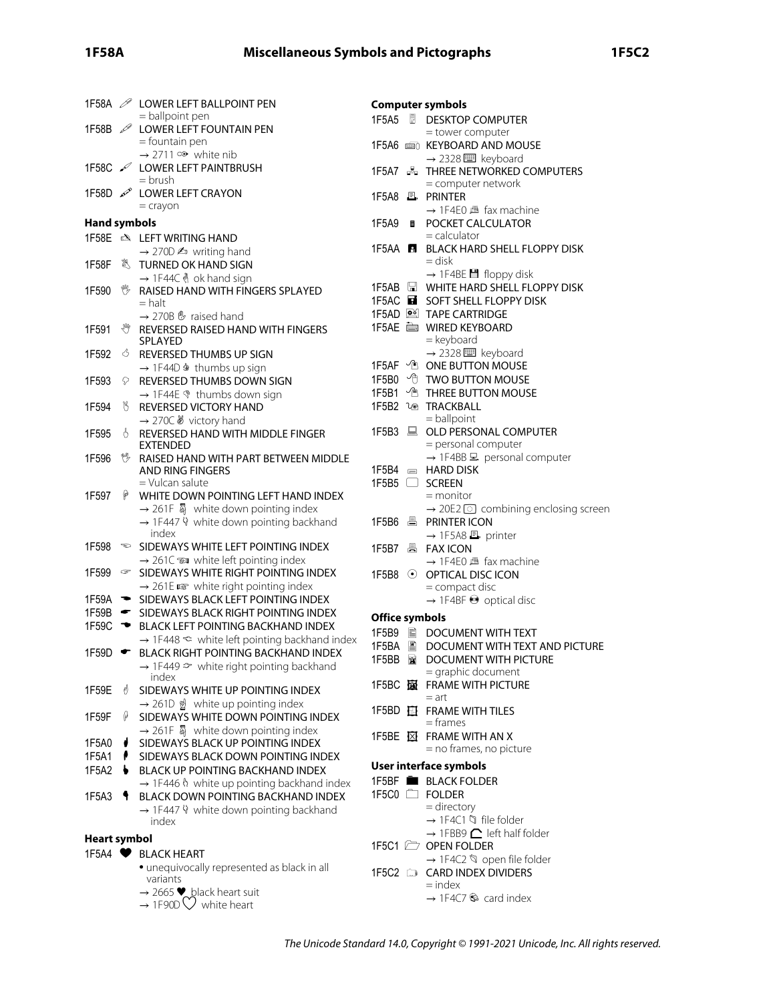|                     |        | 1F58A 2 LOWER LEFT BALLPOINT PEN                                                              |                | <b>Computer symbols</b>                                                    |
|---------------------|--------|-----------------------------------------------------------------------------------------------|----------------|----------------------------------------------------------------------------|
|                     |        | = ballpoint pen                                                                               |                | 1F5A5 <b>DESKTOP COMPUTER</b>                                              |
| 1F58B $\mathscr{P}$ |        | LOWER LEFT FOUNTAIN PEN<br>$=$ fountain pen                                                   |                | = tower computer                                                           |
|                     |        | $\rightarrow$ 2711 $\infty$ white nib                                                         |                | 1F5A6 and KEYBOARD AND MOUSE                                               |
|                     |        | 1F58C / LOWER LEFT PAINTBRUSH                                                                 |                | → 2328 ■ keyboard<br>1F5A7 B THREE NETWORKED COMPUTERS                     |
|                     |        | = brush                                                                                       |                | = computer network                                                         |
|                     |        | 1F58D & LOWER LEFT CRAYON                                                                     |                | 1F5A8 且 PRINTER                                                            |
|                     |        | $=$ crayon                                                                                    |                | $\rightarrow$ 1F4E0 $\mathbb{B}$ fax machine                               |
| Hand symbols        |        |                                                                                               |                | 1F5A9 <b>a</b> POCKET CALCULATOR                                           |
|                     |        | 1F58E & LEFT WRITING HAND                                                                     |                | $=$ calculator                                                             |
|                     |        | $\rightarrow$ 270D $\spadesuit$ writing hand                                                  |                | 1F5AA <b>E</b> BLACK HARD SHELL FLOPPY DISK<br>= disk                      |
| 1F58F               |        | URNED OK HAND SIGN                                                                            |                | $\rightarrow$ 1F4BE $\blacksquare$ floppy disk                             |
| 1F590               | 鴨      | → 1F44C & ok hand sign<br>RAISED HAND WITH FINGERS SPLAYED                                    |                | 1F5AB <b>E</b> WHITE HARD SHELL FLOPPY DISK                                |
|                     |        | $=$ halt                                                                                      |                | 1F5AC <b>EF</b> SOFT SHELL FLOPPY DISK                                     |
|                     |        | $\rightarrow$ 270B $\mathfrak{G}$ raised hand                                                 |                | 1F5AD <b>DE TAPE CARTRIDGE</b>                                             |
| 1F591               |        | <sup>₩</sup> REVERSED RAISED HAND WITH FINGERS                                                |                | 1F5AE in WIRED KEYBOARD                                                    |
|                     |        | SPLAYED                                                                                       |                | = keyboard                                                                 |
| 1F592               | Ô.     | REVERSED THUMBS UP SIGN                                                                       |                | → 2328   keyboard                                                          |
|                     |        | → 1F44D ♦ thumbs up sign                                                                      |                | 1F5AF <sup>1</sup> ONE BUTTON MOUSE<br>1F5B0 <sup>1</sup> TWO BUTTON MOUSE |
| 1F593               | Q      | REVERSED THUMBS DOWN SIGN                                                                     |                | 1F5B1 <sup>n</sup> THREE BUTTON MOUSE                                      |
| 1F594               | W,     | $\rightarrow$ 1F44E $\textdegree$ thumbs down sign<br>REVERSED VICTORY HAND                   |                | 1F5B2 1 <sup>®</sup> TRACKBALL                                             |
|                     |        | → 270C & victory hand                                                                         |                | $=$ ballpoint                                                              |
| 1F595               | Ő.     | REVERSED HAND WITH MIDDLE FINGER                                                              |                | 1F5B3 A OLD PERSONAL COMPUTER                                              |
|                     |        | <b>EXTENDED</b>                                                                               |                | = personal computer                                                        |
| 1F596               | ۴Ļ     | RAISED HAND WITH PART BETWEEN MIDDLE                                                          |                | $\rightarrow$ 1F4BB $\Xi$ personal computer                                |
|                     |        | AND RING FINGERS<br>$=$ Vulcan salute                                                         |                | $1F5B4 \equiv$ HARD DISK<br>1F5B5 □ SCREEN                                 |
| 1F597               | φ      | WHITE DOWN POINTING LEFT HAND INDEX                                                           |                | $=$ monitor                                                                |
|                     |        | $\rightarrow$ 261F $\overline{\mathbb{Q}}$ white down pointing index                          |                | $\rightarrow$ 20E2 $\odot$ combining enclosing screen                      |
|                     |        | → 1F447 V white down pointing backhand                                                        |                | 1F5B6 A PRINTER ICON                                                       |
|                     |        | index                                                                                         |                | → 1F5A8 ■ printer                                                          |
| 1F598               |        | $\approx$ SIDEWAYS WHITE LEFT POINTING INDEX                                                  |                |                                                                            |
| 1F599               |        | $\rightarrow$ 261C $\approx$ white left pointing index<br>SIDEWAYS WHITE RIGHT POINTING INDEX |                | $\rightarrow$ 1F4E0 $\mathbb{B}$ fax machine                               |
|                     |        | $\rightarrow$ 261E $\approx$ white right pointing index                                       |                | 1F5B8 © OPTICAL DISC ICON<br>= compact disc                                |
|                     |        | 1F59A SIDEWAYS BLACK LEFT POINTING INDEX                                                      |                | $\rightarrow$ 1F4BF $\odot$ optical disc                                   |
| 1F59B               | ਵ_     | SIDEWAYS BLACK RIGHT POINTING INDEX                                                           | Office symbols |                                                                            |
|                     |        | 1F59C → BLACK LEFT POINTING BACKHAND INDEX                                                    |                | 1F5B9 目 DOCUMENT WITH TEXT                                                 |
|                     |        | $\rightarrow$ 1F448 $\approx$ white left pointing backhand index                              |                | 1F5BA ■ DOCUMENT WITH TEXT AND PICTURE                                     |
|                     |        | 1F59D <b>CE</b> BLACK RIGHT POINTING BACKHAND INDEX                                           |                | 1F5BB R DOCUMENT WITH PICTURE                                              |
|                     |        | $\rightarrow$ 1F449 $\approx$ white right pointing backhand<br>index                          |                | = graphic document                                                         |
| 1F59E               | $\ell$ | SIDEWAYS WHITE UP POINTING INDEX                                                              |                | 1F5BC R FRAME WITH PICTURE                                                 |
|                     |        | $\rightarrow$ 261D $\mathcal{D}$ white up pointing index                                      |                | $=$ art                                                                    |
| 1F59F               |        | SIDEWAYS WHITE DOWN POINTING INDEX                                                            |                | 1F5BD <b>亚</b> FRAME WITH TILES<br>$=$ frames                              |
|                     |        | $\rightarrow$ 261F $\overline{\mathbb{Q}}$ white down pointing index                          |                | 1F5BE $\overline{\boxtimes}$ FRAME WITH AN X                               |
| 1F5A0               |        | SIDEWAYS BLACK UP POINTING INDEX                                                              |                | = no frames, no picture                                                    |
| 1F5A1               |        | SIDEWAYS BLACK DOWN POINTING INDEX                                                            |                | User interface symbols                                                     |
| 1F5A2               |        | BLACK UP POINTING BACKHAND INDEX                                                              |                | 1F5BF <b>N</b> BLACK FOLDER                                                |
| 1F5A3               | ,      | → 1F446 h white up pointing backhand index<br>BLACK DOWN POINTING BACKHAND INDEX              |                | 1F5C0 <sup>1</sup> FOLDER                                                  |
|                     |        | → 1F447 V white down pointing backhand                                                        |                | $=$ directory                                                              |
|                     |        | index                                                                                         |                | $\rightarrow$ 1F4C1 \ file folder                                          |
| Heart symbol        |        |                                                                                               |                | $\rightarrow$ 1FBB9 $\bigcap$ left half folder                             |
|                     |        | 1F5A4 <b>W</b> BLACK HEART                                                                    |                | 1F5C1 <b>D</b> OPEN FOLDER                                                 |
|                     |        | · unequivocally represented as black in all                                                   |                | → 1F4C2 \ open file folder<br>1F5C2 CD CARD INDEX DIVIDERS                 |
|                     |        | variants                                                                                      |                | $=$ index                                                                  |
|                     |        | $\rightarrow$ 2665 $\blacktriangleright$ black heart suit                                     |                | $\rightarrow$ 1F4C7 $\hat{\mathcal{S}}$ card index                         |
|                     |        | $\rightarrow$ 1F90D $\bigcirc$ white heart                                                    |                |                                                                            |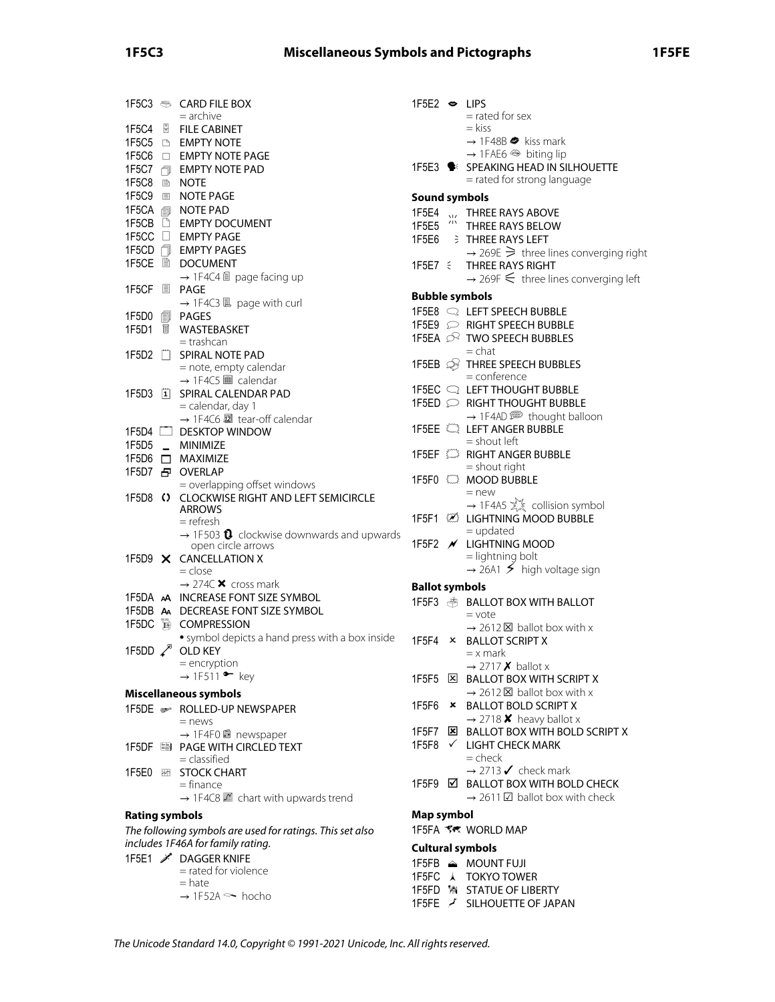# **1F5C3 Miscellaneous Symbols and Pictographs 1F5FE**

|                         |             | 1F5C3 <del>⑤</del> CARD FILE BOX<br>$=$ archive                                                |
|-------------------------|-------------|------------------------------------------------------------------------------------------------|
|                         |             | <b>FILE CABINET</b>                                                                            |
|                         |             | 1F5C5 B EMPTY NOTE                                                                             |
| 1F5C6 O                 |             | <b>EMPTY NOTE PAGE</b>                                                                         |
| 1F5C7 <sub>1</sub>      |             | <b>EMPTY NOTE PAD</b>                                                                          |
| 1F5C8 <b>AD</b>         |             | NOTE                                                                                           |
| 1F5C9 <b>国</b>          |             | <b>NOTE PAGE</b>                                                                               |
| 1F5CA f                 |             | NOTE PAD                                                                                       |
| 1F5CB D                 |             | <b>EMPTY DOCUMENT</b>                                                                          |
| 1F5CC □                 |             | <b>EMPTY PAGE</b>                                                                              |
| 1F5CD 门                 |             | <b>EMPTY PAGES</b>                                                                             |
| 1F5CE A                 |             | DOCUMENT                                                                                       |
|                         |             | → 1F4C4 a page facing up                                                                       |
| 1F5CF 圓                 |             | PAGE                                                                                           |
|                         |             | $\rightarrow$ 1F4C3 $\Box$ page with curl                                                      |
| 1F5D0                   | 創           | PAGES                                                                                          |
| 1F5D1                   | $\mathbb H$ | WASTEBASKET                                                                                    |
|                         |             | = trashcan                                                                                     |
|                         |             | 1F5D2 [ SPIRAL NOTE PAD                                                                        |
|                         |             | = note, empty calendar                                                                         |
|                         |             | $\rightarrow$ 1F4C5 $\blacksquare$ calendar                                                    |
| $1F5D3$ $\vert 1 \vert$ |             | SPIRAL CALENDAR PAD                                                                            |
|                         |             | = calendar, day 1                                                                              |
|                         |             | → 1F4C6 2 tear-off calendar                                                                    |
|                         |             | 1F5D4 <b>DESKTOP WINDOW</b>                                                                    |
|                         |             | 1F5D5 _ MINIMIZE                                                                               |
|                         |             | 1F5D6 □ MAXIMIZE                                                                               |
|                         |             | 1F5D7 日 OVERLAP                                                                                |
|                         |             | = overlapping offset windows                                                                   |
| 1F5D8 ()                |             | <b>CLOCKWISE RIGHT AND LEFT SEMICIRCLE</b>                                                     |
|                         |             | <b>ARROWS</b>                                                                                  |
|                         |             | = refresh                                                                                      |
|                         |             | $\rightarrow$ 1F503 $\bullet$ clockwise downwards and upwards                                  |
| 1F5D9 $\times$          |             | open circle arrows                                                                             |
|                         |             | <b>CANCELLATION X</b><br>= close                                                               |
|                         |             | $\rightarrow$ 274C $\times$ cross mark                                                         |
|                         |             | 1F5DA AA INCREASE FONT SIZE SYMBOL                                                             |
|                         |             | 1F5DB A DECREASE FONT SIZE SYMBOL                                                              |
| 1F5DC                   | É           | <b>COMPRESSION</b>                                                                             |
|                         |             | • symbol depicts a hand press with a box inside                                                |
| 1F5DD $\swarrow^8$      |             | <b>OLD KEY</b>                                                                                 |
|                         |             | = encryption                                                                                   |
|                         |             | $\rightarrow$ 1F511 • key                                                                      |
|                         |             | Miscellaneous symbols                                                                          |
|                         |             |                                                                                                |
|                         |             | 1F5DE > ROLLED-UP NEWSPAPER<br>$=$ news                                                        |
|                         |             | → 1F4F0 ■ newspaper                                                                            |
| 1F5DF                   |             | <b>SEPAGE WITH CIRCLED TEXT</b>                                                                |
|                         |             | $=$ classified                                                                                 |
| 1F5E0                   |             | <b>EXECUTE STOCK CHART</b>                                                                     |
|                         |             | $=$ finance                                                                                    |
|                         |             | $\rightarrow$ 1F4C8 $\mathbb{M}$ chart with upwards trend                                      |
| <b>Rating symbols</b>   |             |                                                                                                |
|                         |             |                                                                                                |
|                         |             | The following symbols are used for ratings. This set also<br>includes 1F46A for family rating. |
|                         |             | 1F5E1 X DAGGER KNIFE                                                                           |
|                         |             | = rated for violence                                                                           |
|                         |             | = hate                                                                                         |
|                         |             | $\rightarrow$ 1F52A $\sim$ hocho                                                               |
|                         |             |                                                                                                |

| 1F5E2 $\bullet$ LIPS  |              | = rated for sex                                                                                               |
|-----------------------|--------------|---------------------------------------------------------------------------------------------------------------|
|                       |              | = kiss<br>$\rightarrow$ 1F48B $\bullet$ kiss mark<br>$\rightarrow$ 1FAE6 $\textcircled{\tiny{\#}}$ biting lip |
|                       |              | 1F5E3 : SPEAKING HEAD IN SILHOUETTE                                                                           |
|                       |              | = rated for strong language                                                                                   |
| <b>Sound symbols</b>  |              |                                                                                                               |
| 1F5E4                 |              | WEITHREE RAYS ABOVE                                                                                           |
| 1F5E5                 |              | <b>THREE RAYS BELOW</b>                                                                                       |
|                       |              | 1F5E6 $\Rightarrow$ THREE RAYS LEFT                                                                           |
|                       |              | $\rightarrow$ 269E $\geq$ three lines converging right                                                        |
| $1F5E7 \leq$          |              | THREE RAYS RIGHT                                                                                              |
|                       |              | $\rightarrow$ 269F $\leq$ three lines converging left                                                         |
| <b>Bubble symbols</b> |              |                                                                                                               |
|                       |              |                                                                                                               |
|                       |              |                                                                                                               |
|                       |              | 1F5EA <sup>2</sup> TWO SPEECH BUBBLES                                                                         |
|                       |              | $=$ chat<br>1F5EB <b>S</b> THREE SPEECH BUBBLES                                                               |
|                       |              | $=$ conference                                                                                                |
|                       |              |                                                                                                               |
|                       |              | 1F5ED C RIGHT THOUGHT BUBBLE                                                                                  |
|                       |              | $\rightarrow$ 1F4AD $\implies$ thought balloon                                                                |
|                       |              |                                                                                                               |
|                       |              | $=$ shout left                                                                                                |
|                       |              | 1F5EF <b>WEBSING RIGHT ANGER BUBBLE</b><br>$=$ shout right                                                    |
|                       |              | 1F5F0 <b>CO</b> MOOD BUBBLE                                                                                   |
|                       |              | $=$ new                                                                                                       |
|                       |              | $\rightarrow$ 1F4A5 $\sum_{k=1}^{N}$ collision symbol                                                         |
|                       |              | 1F5F1 <b>WE LIGHTNING MOOD BUBBLE</b>                                                                         |
|                       |              | $=$ updated                                                                                                   |
|                       |              | 1F5F2 / LIGHTNING MOOD<br>= lightning bolt                                                                    |
|                       |              | $\rightarrow$ 26A1 $\leq$ high voltage sign                                                                   |
| <b>Ballot symbols</b> |              |                                                                                                               |
|                       |              | 1F5F3 <b>SALLOT BOX WITH BALLOT</b>                                                                           |
|                       |              | $=$ vote                                                                                                      |
|                       |              | $\rightarrow$ 2612 $\times$ ballot box with x                                                                 |
| 1F5F4 ×               |              | <b>BALLOT SCRIPT X</b>                                                                                        |
|                       |              | $=$ x mark                                                                                                    |
|                       |              | $\rightarrow$ 2717 <b>X</b> ballot x                                                                          |
| 1F5F5 [ <u>×</u> ]    |              | <b>BALLOT BOX WITH SCRIPT X</b><br>$\rightarrow$ 2612 $\times$ ballot box with x                              |
| 1F5F6                 | ×            | <b>BALLOT BOLD SCRIPT X</b>                                                                                   |
|                       |              | $\rightarrow$ 2718 <b>X</b> heavy ballot x                                                                    |
| 1F5F7                 | ⊠            | <b>BALLOT BOX WITH BOLD SCRIPT X</b>                                                                          |
| 1F5F8                 | $\checkmark$ | <b>LIGHT CHECK MARK</b>                                                                                       |
|                       |              | $=$ check                                                                                                     |
|                       |              | $\rightarrow$ 2713 $\checkmark$ check mark                                                                    |
| 1F5F9                 | ☑            | <b>BALLOT BOX WITH BOLD CHECK</b>                                                                             |
|                       |              | $\rightarrow$ 2611 $\boxtimes$ ballot box with check                                                          |
| Map symbol            |              |                                                                                                               |
|                       |              |                                                                                                               |
|                       |              | <b>Cultural symbols</b>                                                                                       |
|                       |              | 1F5FB ≙ MOUNT FUJI                                                                                            |
|                       |              | 1F5FC A TOKYO TOWER                                                                                           |
|                       |              | 1F5FD % STATUE OF LIBERTY                                                                                     |
|                       |              | 1F5FE / SILHOUETTE OF JAPAN                                                                                   |